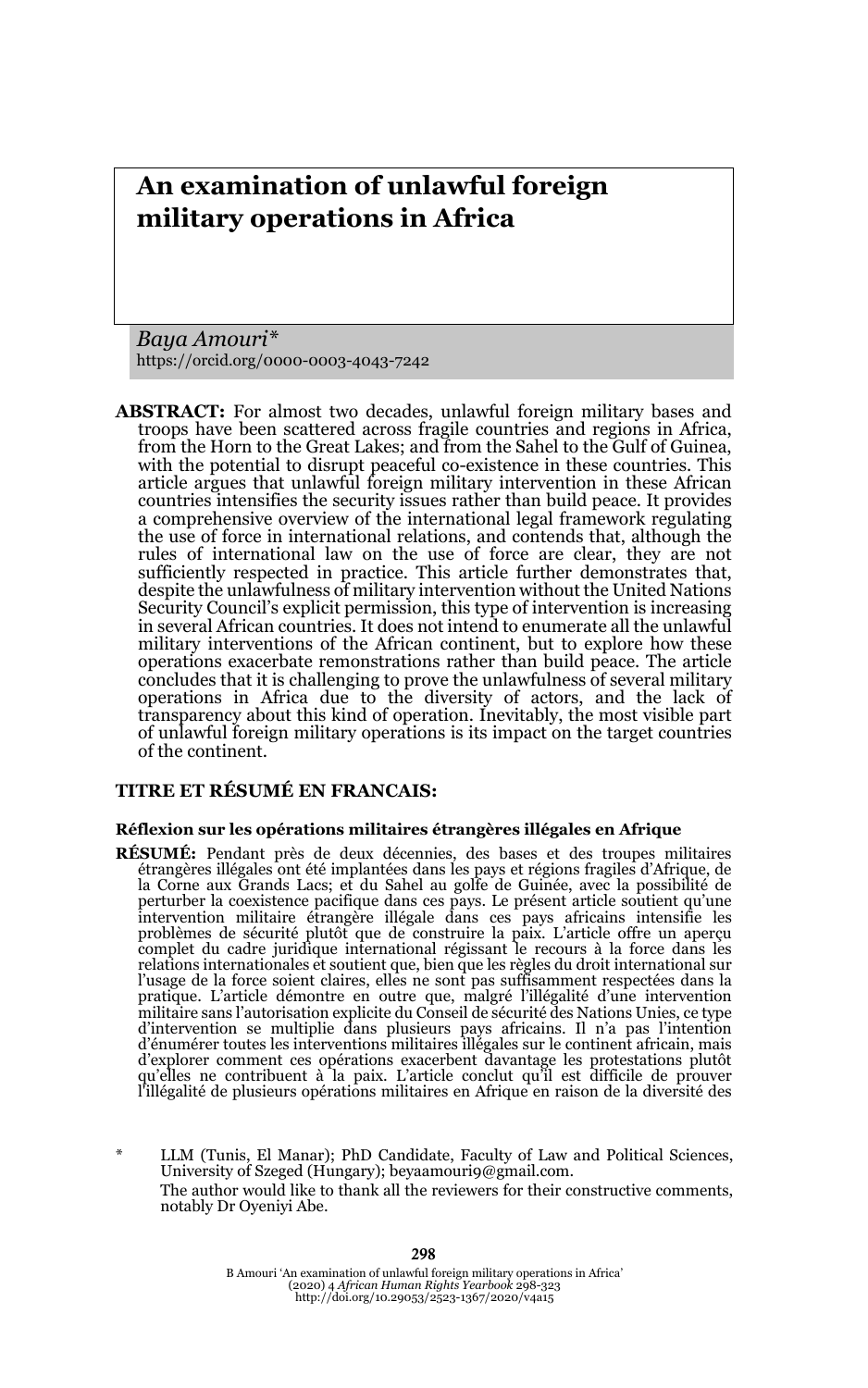# **An examination of unlawful foreign military operations in Africa**

*Baya Amouri\** https://orcid.org/0000-0003-4043-7242

**ABSTRACT:** For almost two decades, unlawful foreign military bases and troops have been scattered across fragile countries and regions in Africa, from the Horn to the Great Lakes; and from the Sahel to the Gulf of Guinea, with the potential to disrupt peaceful co-existence in these countries. This article argues that unlawful foreign military intervention in these African countries intensifies the security issues rather than build peace. It provides a comprehensive overview of the international legal framework regulating the use of force in international relations, and contends that, although the rules of international law on the use of force are clear, they are not sufficiently respected in practice. This article further demonstrates that, despite the unlawfulness of military intervention without the United Nations Security Council's explicit permission, this type of intervention is increasing in several African countries. It does not intend to enumerate all the unlawful military interventions of the African continent, but to explore how these operations exacerbate remonstrations rather than build peace. The article concludes that it is challenging to prove the unlawfulness of several military operations in Africa due to the diversity of actors, and the lack of transparency about this kind of operation. Inevitably, the most visible part of unlawful foreign military operations is its impact on the target countries of the continent.

#### **TITRE ET RÉSUMÉ EN FRANCAIS:**

#### **Réflexion sur les opérations militaires étrangères illégales en Afrique**

**RÉSUMÉ:** Pendant près de deux décennies, des bases et des troupes militaires étrangères illégales ont été implantées dans les pays et régions fragiles d'Afrique, de la Corne aux Grands Lacs; et du Sahel au golfe de Guinée, avec la possibilité de perturber la coexistence pacifique dans ces pays. Le présent article soutient qu'une intervention militaire étrangère illégale dans ces pays africains intensifie les<br>problèmes de sécurité plutôt que de construire la paix. L'article offre un aperçu<br>complet du cadre juridique international régissant le recou relations internationales et soutient que, bien que les règles du droit international sur<br>l'usage de la force soient claires, elles ne sont pas suffisamment respectées dans la<br>pratique. L'article démontre en outre que, mal militaire sans l'autorisation explicite du Conseil de sécurité des Nations Unies, ce type<br>d'intervention se multiplie dans plusieurs pays africains. Il n'a pas l'intention<br>d'énumérer toutes les interventions milit d'explorer comment ces opérations exacerbent davantage les protestations plutôt qu'elles ne contribuent à la paix. L'article conclut qu'il est difficile de prouver l'illégalité de plusieurs opérations militaires en Afrique en raison de la diversité des

LLM (Tunis, El Manar); PhD Candidate, Faculty of Law and Political Sciences, University of Szeged (Hungary); beyaamouri9@gmail.com. The author would like to thank all the reviewers for their constructive comments, notably Dr Oyeniyi Abe.

> B Amouri 'An examination of unlawful foreign military operations in Africa' (2020) 4 *African Human Rights Yearbook* 298-323 http://doi.org/10.29053/2523-1367/2020/v4a15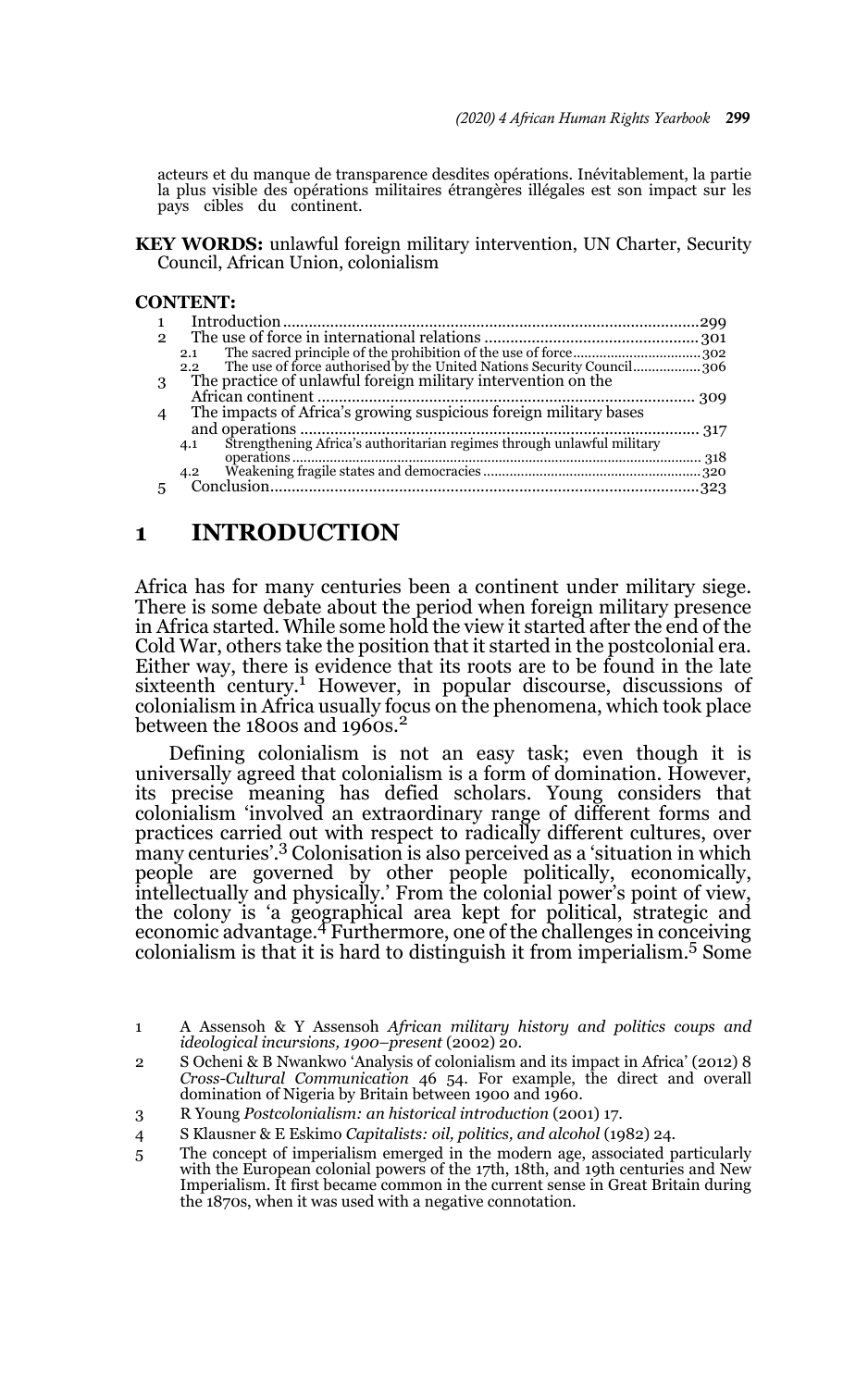acteurs et du manque de transparence desdites opérations. Inévitablement, la partie la plus visible des opérations militaires étrangères illégales est son impact sur les pays cibles du continent.

**KEY WORDS:** unlawful foreign military intervention, UN Charter, Security Council, African Union, colonialism

#### **CONTENT:**

| $\mathcal{D}$ |                                                                                        |
|---------------|----------------------------------------------------------------------------------------|
|               | 2.1                                                                                    |
|               | The use of force authorised by the United Nations Security Council306<br>$2.2^{\circ}$ |
| 3             | The practice of unlawful foreign military intervention on the                          |
|               |                                                                                        |
|               | The impacts of Africa's growing suspicious foreign military bases                      |
|               |                                                                                        |
|               | Strengthening Africa's authoritarian regimes through unlawful military<br>4.1          |
|               |                                                                                        |
|               | 4.2                                                                                    |
|               |                                                                                        |

#### **1 INTRODUCTION**

Africa has for many centuries been a continent under military siege. There is some debate about the period when foreign military presence in Africa started. While some hold the view it started after the end of the Cold War, others take the position that it started in the postcolonial era. Either way, there is evidence that its roots are to be found in the late sixteenth century.<sup>1</sup> However, in popular discourse, discussions of colonialism in Africa usually focus on the phenomena, which took place between the 1800s and 1960s.<sup>2</sup>

Defining colonialism is not an easy task; even though it is universally agreed that colonialism is a form of domination. However, its precise meaning has defied scholars. Young considers that colonialism 'involved an extraordinary range of different forms and practices carried out with respect to radically different cultures, over many centuries'.3 Colonisation is also perceived as a 'situation in which people are governed by other people politically, economically, intellectually and physically.' From the colonial power's point of view, the colony is 'a geographical area kept for political, strategic and economic advantage.4 Furthermore, one of the challenges in conceiving colonialism is that it is hard to distinguish it from imperialism.5 Some

<sup>1</sup> A Assensoh & Y Assensoh *African military history and politics coups and ideological incursions, 1900–present* (2002) 20.

<sup>2</sup> S Ocheni & B Nwankwo 'Analysis of colonialism and its impact in Africa' (2012) 8 *Cross-Cultural Communication* 46 54. For example, the direct and overall domination of Nigeria by Britain between 1900 and 1960.

<sup>3</sup> R Young *Postcolonialism: an historical introduction* (2001) 17.

<sup>4</sup> S Klausner & E Eskimo *Capitalists: oil, politics, and alcohol* (1982) 24.

<sup>5</sup> The concept of imperialism emerged in the modern age, associated particularly with the European colonial powers of the 17th, 18th, and 19th centuries and New Imperialism. It first became common in the current sense in Great Britain during the 1870s, when it was used with a negative connotation.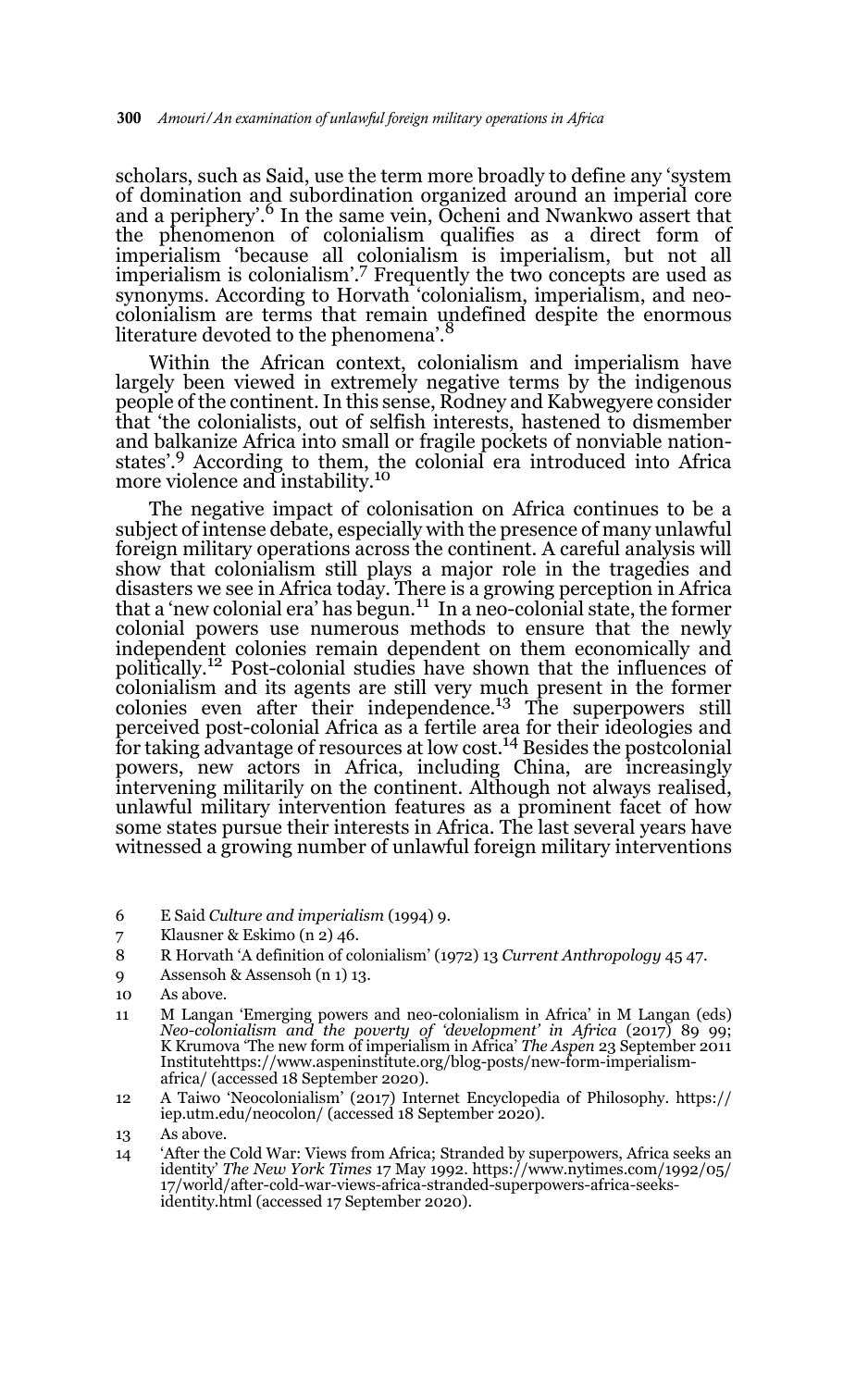scholars, such as Said, use the term more broadly to define any 'system of domination and subordination organized around an imperial core and a periphery'.<sup>6</sup> In the same vein, Ocheni and Nwankwo assert that the phenomenon of colonialism qualifies as a direct form of imperialism 'because all colonialism is imperialism, but not all imperialism is colonialism'.7 Frequently the two concepts are used as synonyms. According to Horvath 'colonialism, imperialism, and neocolonialism are terms that remain undefined despite the enormous literature devoted to the phenomena'.

Within the African context, colonialism and imperialism have largely been viewed in extremely negative terms by the indigenous people of the continent. In this sense, Rodney and Kabwegyere consider that 'the colonialists, out of selfish interests, hastened to dismember and balkanize Africa into small or fragile pockets of nonviable nationstates'.9 According to them, the colonial era introduced into Africa more violence and instability.<sup>10</sup>

The negative impact of colonisation on Africa continues to be a subject of intense debate, especially with the presence of many unlawful foreign military operations across the continent. A careful analysis will show that colonialism still plays a major role in the tragedies and disasters we see in Africa today. There is a growing perception in Africa that a 'new colonial era' has begun.<sup>11</sup> In a neo-colonial state, the former colonial powers use numerous methods to ensure that the newly independent colonies remain dependent on them economically and politically.12 Post-colonial studies have shown that the influences of colonialism and its agents are still very much present in the former colonies even after their independence.<sup>13</sup> The superpowers still perceived post-colonial Africa as a fertile area for their ideologies and for taking advantage of resources at low cost.<sup>14</sup> Besides the postcolonial powers, new actors in Africa, including China, are increasingly intervening militarily on the continent. Although not always realised, unlawful military intervention features as a prominent facet of how some states pursue their interests in Africa. The last several years have witnessed a growing number of unlawful foreign military interventions

- 6 E Said *Culture and imperialism* (1994) 9.
- 7 Klausner & Eskimo (n 2) 46.
- 8 R Horvath 'A definition of colonialism' (1972) 13 *Current Anthropology* 45 47.
- 9 Assensoh & Assensoh (n 1) 13.

- 11 M Langan 'Emerging powers and neo-colonialism in Africa' in M Langan (eds) *Neo-colonialism and the poverty of 'development' in Africa* (2017) 89 99; K Krumova 'The new form of imperialism in Africa' *The Aspen* 23 September 2011 Institutehttps://www.aspeninstitute.org/blog-posts/new-form-imperialismafrica/ (accessed 18 September 2020).
- 12 A Taiwo 'Neocolonialism' (2017) Internet Encyclopedia of Philosophy. https:// iep.utm.edu/neocolon/ (accessed 18 September 2020).

<sup>10</sup> As above.

<sup>13</sup> As above.

<sup>14 &#</sup>x27;After the Cold War: Views from Africa; Stranded by superpowers, Africa seeks an identity' *The New York Times* 17 May 1992. https://www.nytimes.com/1992/05/ 17/world/after-cold-war-views-africa-stranded-superpowers-africa-seeksidentity.html (accessed 17 September 2020).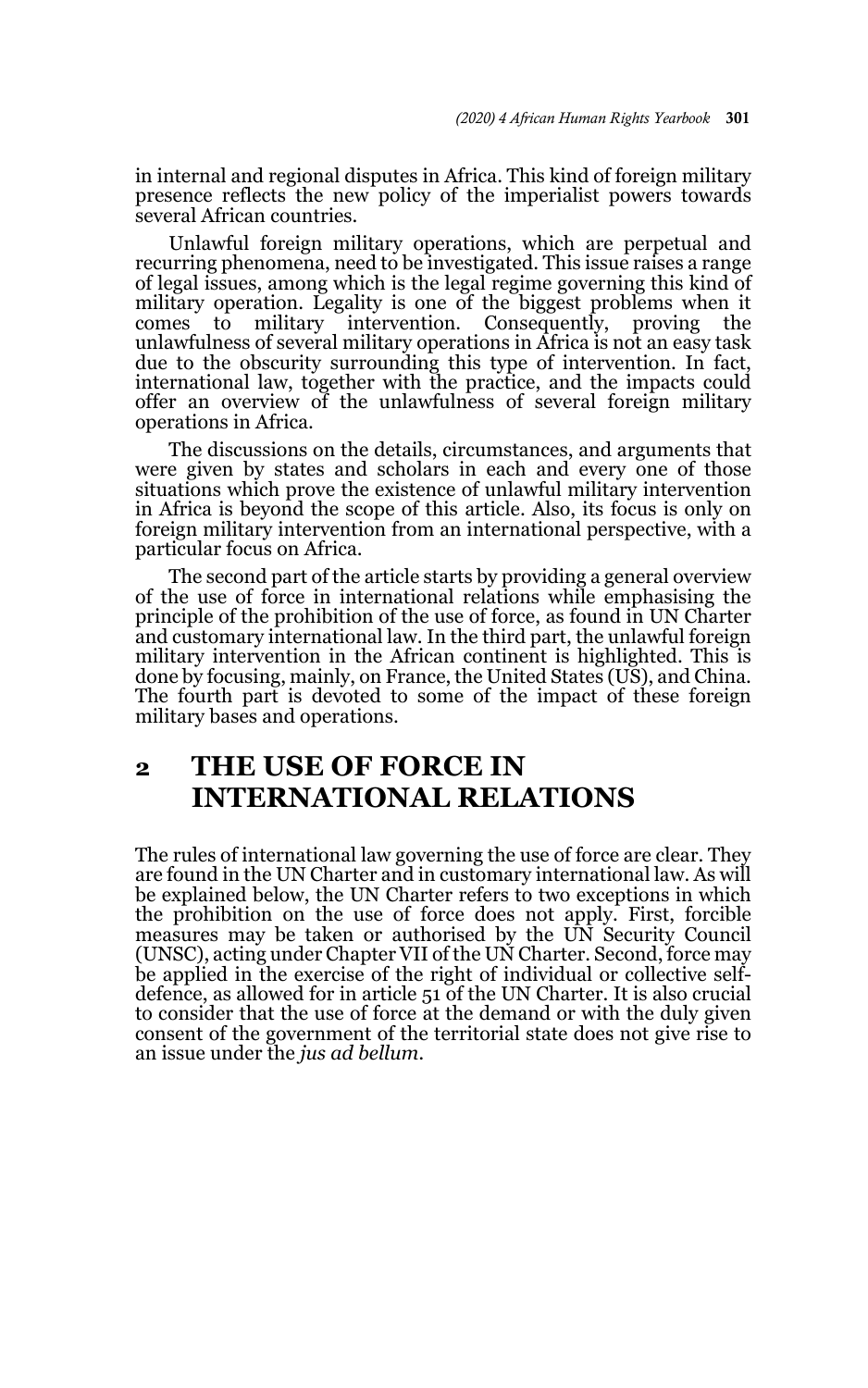in internal and regional disputes in Africa. This kind of foreign military presence reflects the new policy of the imperialist powers towards several African countries.

Unlawful foreign military operations, which are perpetual and recurring phenomena, need to be investigated. This issue raises a range of legal issues, among which is the legal regime governing this kind of military operation. Legality is one of the biggest problems when it comes to military intervention. Consequently, proving the military intervention. Consequently, proving the unlawfulness of several military operations in Africa is not an easy task due to the obscurity surrounding this type of intervention. In fact, international law, together with the practice, and the impacts could offer an overview of the unlawfulness of several foreign military operations in Africa.

The discussions on the details, circumstances, and arguments that were given by states and scholars in each and every one of those situations which prove the existence of unlawful military intervention in Africa is beyond the scope of this article. Also, its focus is only on foreign military intervention from an international perspective, with a particular focus on Africa.

The second part of the article starts by providing a general overview of the use of force in international relations while emphasising the principle of the prohibition of the use of force, as found in UN Charter and customary international law. In the third part, the unlawful foreign military intervention in the African continent is highlighted. This is done by focusing, mainly, on France, the United States (US), and China. The fourth part is devoted to some of the impact of these foreign military bases and operations.

# **2 THE USE OF FORCE IN INTERNATIONAL RELATIONS**

The rules of international law governing the use of force are clear. They are found in the UN Charter and in customary international law. As will be explained below, the UN Charter refers to two exceptions in which the prohibition on the use of force does not apply. First, forcible measures may be taken or authorised by the UN Security Council (UNSC), acting under Chapter VII of the UN Charter. Second, force may be applied in the exercise of the right of individual or collective selfdefence, as allowed for in article 51 of the UN Charter. It is also crucial to consider that the use of force at the demand or with the duly given consent of the government of the territorial state does not give rise to an issue under the *jus ad bellum.*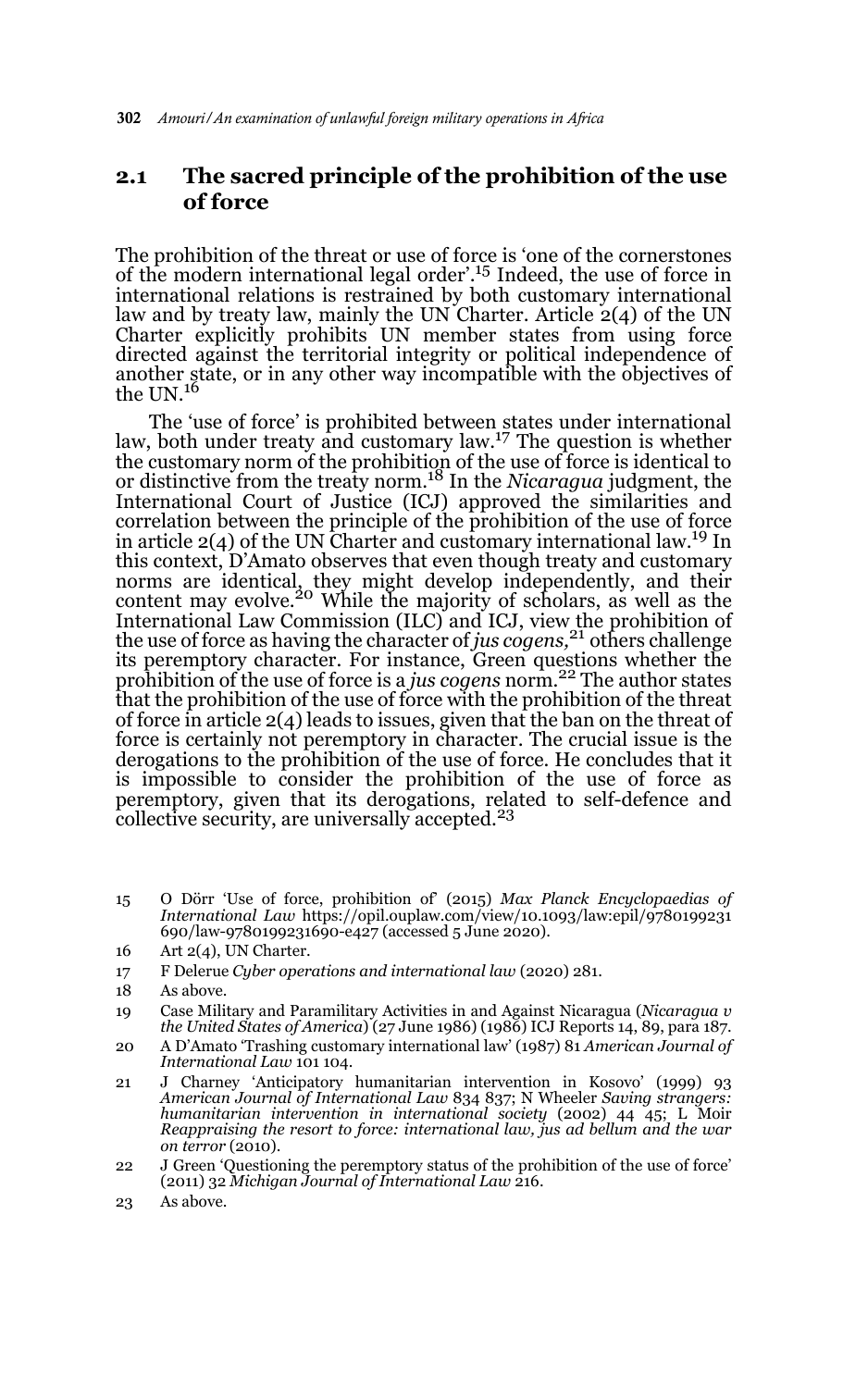### **2.1 The sacred principle of the prohibition of the use of force**

The prohibition of the threat or use of force is 'one of the cornerstones of the modern international legal order'.15 Indeed, the use of force in international relations is restrained by both customary international law and by treaty law, mainly the UN Charter. Article 2(4) of the UN Charter explicitly prohibits UN member states from using force directed against the territorial integrity or political independence of another state, or in any other way incompatible with the objectives of the UN.<sup>16</sup>

The 'use of force' is prohibited between states under international law, both under treaty and customary law.<sup>17</sup> The question is whether the customary norm of the prohibition of the use of force is identical to or distinctive from the treaty norm.18 In the *Nicaragua* judgment, the International Court of Justice (ICJ) approved the similarities and correlation between the principle of the prohibition of the use of force in article  $2(4)$  of the UN Charter and customary international law.<sup>19</sup> In this context, D'Amato observes that even though treaty and customary norms are identical, they might develop independently, and their<br>content may evolve.<sup>20</sup> While the majority of scholars, as well as the International Law Commission (ILC) and ICJ, view the prohibition of the use of force as having the character of *jus cogens,*21 others challenge its peremptory character. For instance, Green questions whether the prohibition of the use of force is a *jus cogens* norm.22 The author states that the prohibition of the use of force with the prohibition of the threat of force in article 2(4) leads to issues, given that the ban on the threat of force is certainly not peremptory in character. The crucial issue is the derogations to the prohibition of the use of force. He concludes that it is impossible to consider the prohibition of the use of force as peremptory, given that its derogations, related to self-defence and collective security, are universally accepted.<sup>23</sup>

15 O Dörr 'Use of force, prohibition of' (2015) *Max Planck Encyclopaedias of International Law* https://opil.ouplaw.com/view/10.1093/law:epil/9780199231 690/law-9780199231690-e427 (accessed 5 June 2020).

- 17 F Delerue *Cyber operations and international law* (2020) 281.
- 18 As above.
- 19 Case Military and Paramilitary Activities in and Against Nicaragua (*Nicaragua v the United States of America*) (27 June 1986) (1986) ICJ Reports 14, 89, para 187.
- 20 A D'Amato 'Trashing customary international law' (1987) 81 *American Journal of International Law* 101 104.
- 21 J Charney 'Anticipatory humanitarian intervention in Kosovo' (1999) 93 *American Journal of International Law* 834 837; N Wheeler *Saving strangers: humanitarian intervention in international society* (2002) 44 45; L Moir *Reappraising the resort to force: international law, jus ad bellum and the war on terror* (2010).
- 22 J Green 'Questioning the peremptory status of the prohibition of the use of force' (2011) 32 *Michigan Journal of International Law* 216.
- 23 As above.

<sup>16</sup> Art 2(4), UN Charter.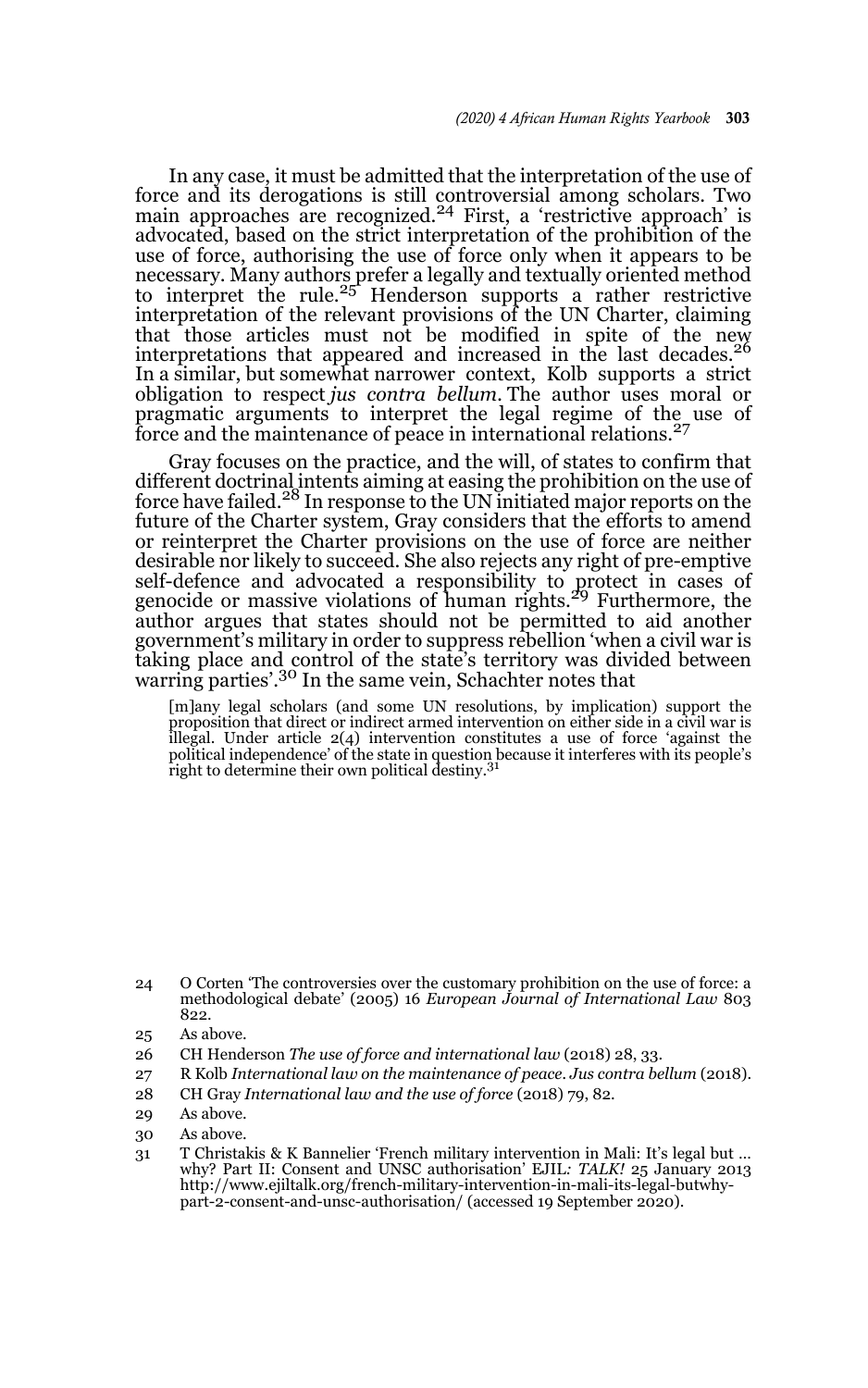In any case, it must be admitted that the interpretation of the use of force and its derogations is still controversial among scholars. Two main approaches are recognized.<sup>24</sup> First, a 'restrictive approach' is advocated, based on the strict interpretation of the prohibition of the use of force, authorising the use of force only when it appears to be necessary. Many authors prefer a legally and textually oriented method to interpret the rule.<sup>25</sup> Henderson supports a rather restrictive interpretation of the relevant provisions of the UN Charter, claiming that those articles must not be modified in spite of the new interpretations that appeared and increased in the last decades.<sup>26</sup> In a similar, but somewhat narrower context, Kolb supports a strict obligation to respect *jus contra bellum.* The author uses moral or pragmatic arguments to interpret the legal regime of the use of force and the maintenance of peace in international relations.<sup>27</sup>

Gray focuses on the practice, and the will, of states to confirm that different doctrinal intents aiming at easing the prohibition on the use of force have failed.<sup>28</sup> In response to the UN initiated major reports on the future of the Charter system, Gray considers that the efforts to amend or reinterpret the Charter provisions on the use of force are neither desirable nor likely to succeed. She also rejects any right of pre-emptive self-defence and advocated a responsibility to protect in cases of genocide or massive violations of human rights.<sup>29</sup> Furthermore, the author argues that states should not be permitted to aid another government's military in order to suppress rebellion 'when a civil war is taking place and control of the state's territory was divided between warring parties'.30 In the same vein, Schachter notes that

[m]any legal scholars (and some UN resolutions, by implication) support the proposition that direct or indirect armed intervention on either side in a civil war is illegal. Under article 2(4) intervention constitutes a use of force 'against the political independence' of the state in question because it interferes with its people's right to determine their own political destiny.<sup>31</sup>

- 26 CH Henderson *The use of force and international law* (2018) 28, 33.
- 27 R Kolb *International law on the maintenance of peace. Jus contra bellum* (2018).
- 28 CH Gray *International law and the use of force* (2018) 79, 82.
- 29 As above.
- 30 As above.
- 31 T Christakis & K Bannelier 'French military intervention in Mali: It's legal but … why? Part II: Consent and UNSC authorisation' EJIL*: TALK!* 25 January 2013 http://www.ejiltalk.org/french-military-intervention-in-mali-its-legal-butwhypart-2-consent-and-unsc-authorisation/ (accessed 19 September 2020).

<sup>24</sup> O Corten 'The controversies over the customary prohibition on the use of force: a methodological debate' (2005) 16 *European Journal of International Law* 803 822.

<sup>25</sup> As above.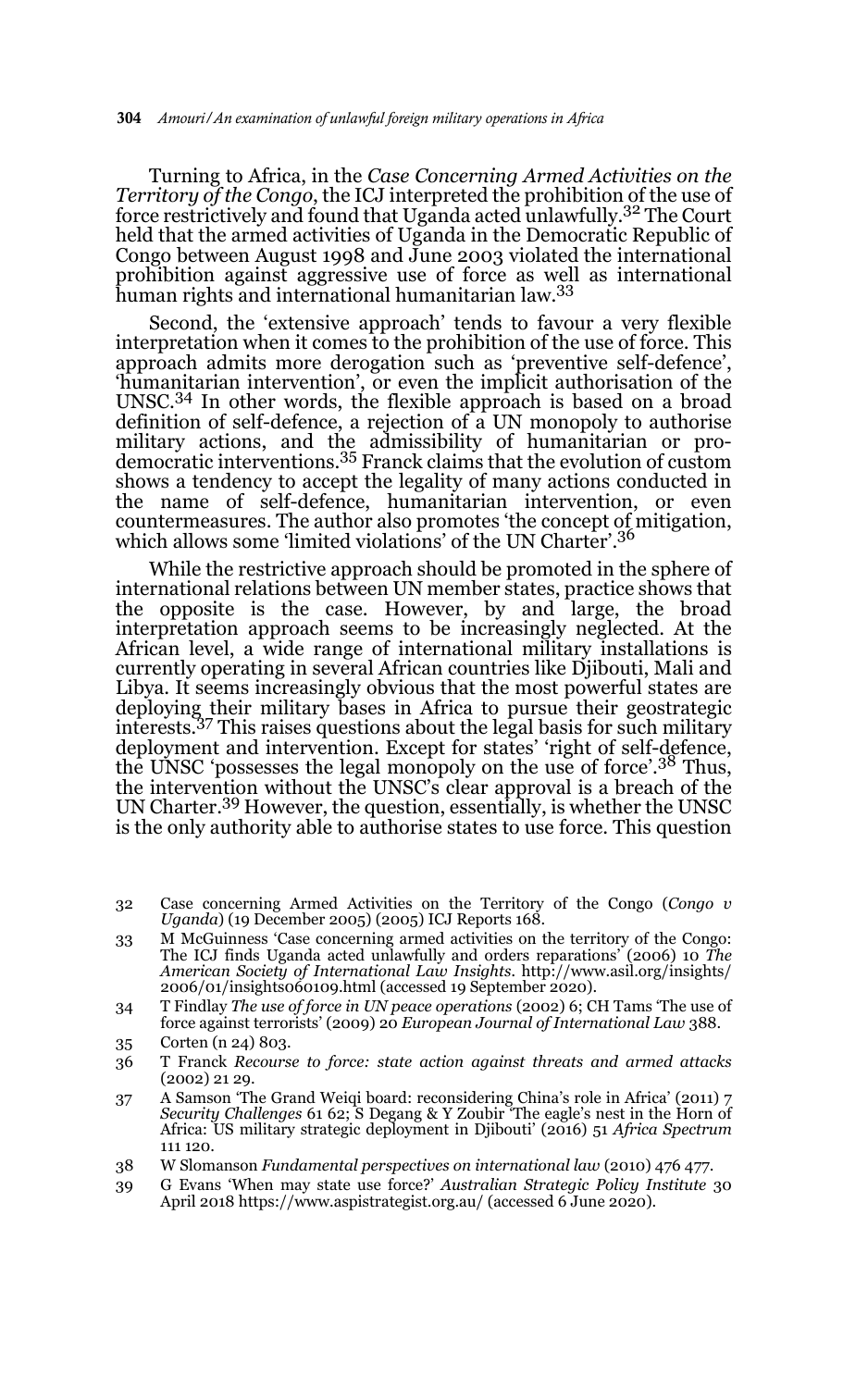Turning to Africa, in the *Case Concerning Armed Activities on the Territory of the Congo*, the ICJ interpreted the prohibition of the use of force restrictively and found that Uganda acted unlawfully.32 The Court held that the armed activities of Uganda in the Democratic Republic of Congo between August 1998 and June 2003 violated the international prohibition against aggressive use of force as well as international human rights and international humanitarian law.<sup>33</sup>

Second, the 'extensive approach' tends to favour a very flexible interpretation when it comes to the prohibition of the use of force. This approach admits more derogation such as 'preventive self-defence', 'humanitarian intervention', or even the implicit authorisation of the UNSC.34 In other words, the flexible approach is based on a broad definition of self-defence, a rejection of a UN monopoly to authorise military actions, and the admissibility of humanitarian or pro-democratic interventions.35 Franck claims that the evolution of custom shows a tendency to accept the legality of many actions conducted in the name of self-defence, humanitarian intervention, or even countermeasures. The author also promotes 'the concept of mitigation, which allows some 'limited violations' of the UN Charter'.<sup>36</sup>

While the restrictive approach should be promoted in the sphere of international relations between UN member states, practice shows that the opposite is the case. However, by and large, the broad interpretation approach seems to be increasingly neglected. At the African level, a wide range of international military installations is currently operating in several African countries like Djibouti, Mali and Libya. It seems increasingly obvious that the most powerful states are deploying their military bases in Africa to pursue their geostrategic interests*.* <sup>37</sup> This raises questions about the legal basis for such military deployment and intervention. Except for states' 'right of self-defence, the UNSC 'possesses the legal monopoly on the use of force'.<sup>38</sup> Thus, the intervention without the UNSC's clear approval is a breach of the UN Charter.39 However, the question, essentially, is whether the UNSC is the only authority able to authorise states to use force. This question

- 32 Case concerning Armed Activities on the Territory of the Congo (*Congo v Uganda*) (19 December 2005) (2005) ICJ Reports 168.
- 33 M McGuinness 'Case concerning armed activities on the territory of the Congo: The ICJ finds Uganda acted unlawfully and orders reparations' (2006) 10 *The American Society of International Law Insights.* http://www.asil.org/insights/ 2006/01/insights060109.html (accessed 19 September 2020).
- 34 T Findlay *The use of force in UN peace operations* (2002) 6; CH Tams 'The use of force against terrorists' (2009) 20 *European Journal of International Law* 388.
- 35 Corten (n 24) 803.
- 36 T Franck *Recourse to force: state action against threats and armed attacks* (2002) 21 29.
- 37 A Samson 'The Grand Weiqi board: reconsidering China's role in Africa' (2011) 7 *Security Challenges* 61 62; S Degang & Y Zoubir 'The eagle's nest in the Horn of Africa: US military strategic deployment in Djibouti' (2016) 51 *Africa Spectrum* 111 120.
- 38 W Slomanson *Fundamental perspectives on international law* (2010) 476 477.
- 39 G Evans 'When may state use force?' *Australian Strategic Policy Institute* 30 April 2018 https://www.aspistrategist.org.au/ (accessed 6 June 2020).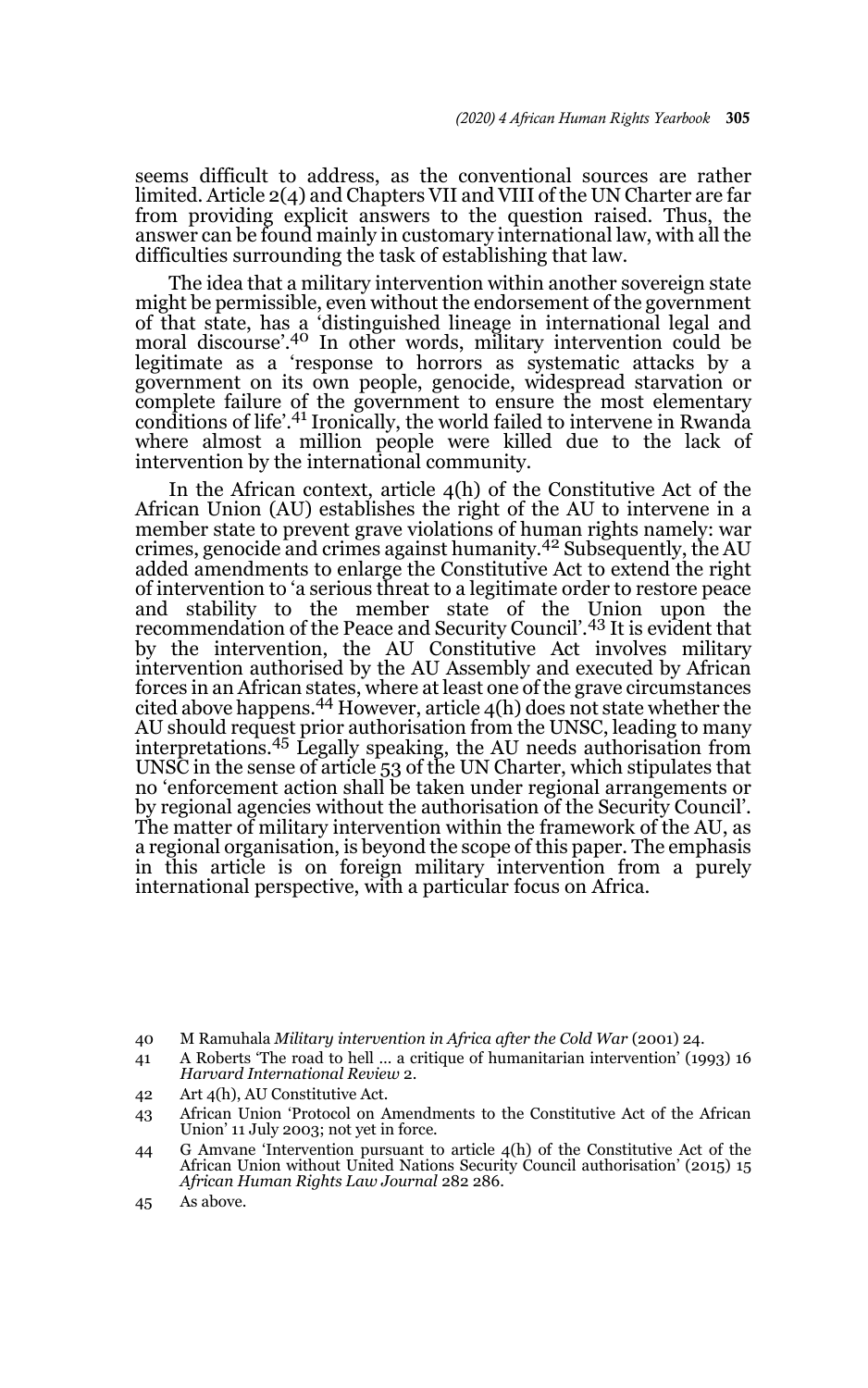seems difficult to address, as the conventional sources are rather limited. Article 2(4) and Chapters VII and VIII of the UN Charter are far from providing explicit answers to the question raised. Thus, the answer can be found mainly in customary international law, with all the difficulties surrounding the task of establishing that law.

The idea that a military intervention within another sovereign state might be permissible, even without the endorsement of the government of that state, has a 'distinguished lineage in international legal and moral discourse'.40 In other words, military intervention could be legitimate as a 'response to horrors as systematic attacks by a government on its own people, genocide, widespread starvation or complete failure of the government to ensure the most elementary conditions of life'.41 Ironically, the world failed to intervene in Rwanda where almost a million people were killed due to the lack of intervention by the international community.

In the African context, article 4(h) of the Constitutive Act of the African Union (AU) establishes the right of the AU to intervene in a member state to prevent grave violations of human rights namely: war crimes, genocide and crimes against humanity.42 Subsequently, the AU added amendments to enlarge the Constitutive Act to extend the right of intervention to 'a serious threat to a legitimate order to restore peace and stability to the member state of the Union upon the recommendation of the Peace and Security Council'.43 It is evident that by the intervention, the AU Constitutive Act involves military intervention authorised by the AU Assembly and executed by African forces in an African states, where at least one of the grave circumstances cited above happens.<sup>44</sup> However, article  $4(h)$  does not state whether the AU should request prior authorisation from the UNSC, leading to many interpretations.45 Legally speaking, the AU needs authorisation from UNSC in the sense of article 53 of the UN Charter, which stipulates that no 'enforcement action shall be taken under regional arrangements or by regional agencies without the authorisation of the Security Council'. The matter of military intervention within the framework of the AU, as a regional organisation, is beyond the scope of this paper. The emphasis in this article is on foreign military intervention from a purely international perspective, with a particular focus on Africa.

- 41 A Roberts 'The road to hell … a critique of humanitarian intervention' (1993) 16 *Harvard International Review* 2.
- 42 Art 4(h), AU Constitutive Act.
- 43 African Union 'Protocol on Amendments to the Constitutive Act of the African Union' 11 July 2003; not yet in force.
- 44 G Amvane 'Intervention pursuant to article 4(h) of the Constitutive Act of the African Union without United Nations Security Council authorisation' (2015) 15 *African Human Rights Law Journal* 282 286.
- 45 As above.

<sup>40</sup> M Ramuhala *Military intervention in Africa after the Cold War* (2001) 24.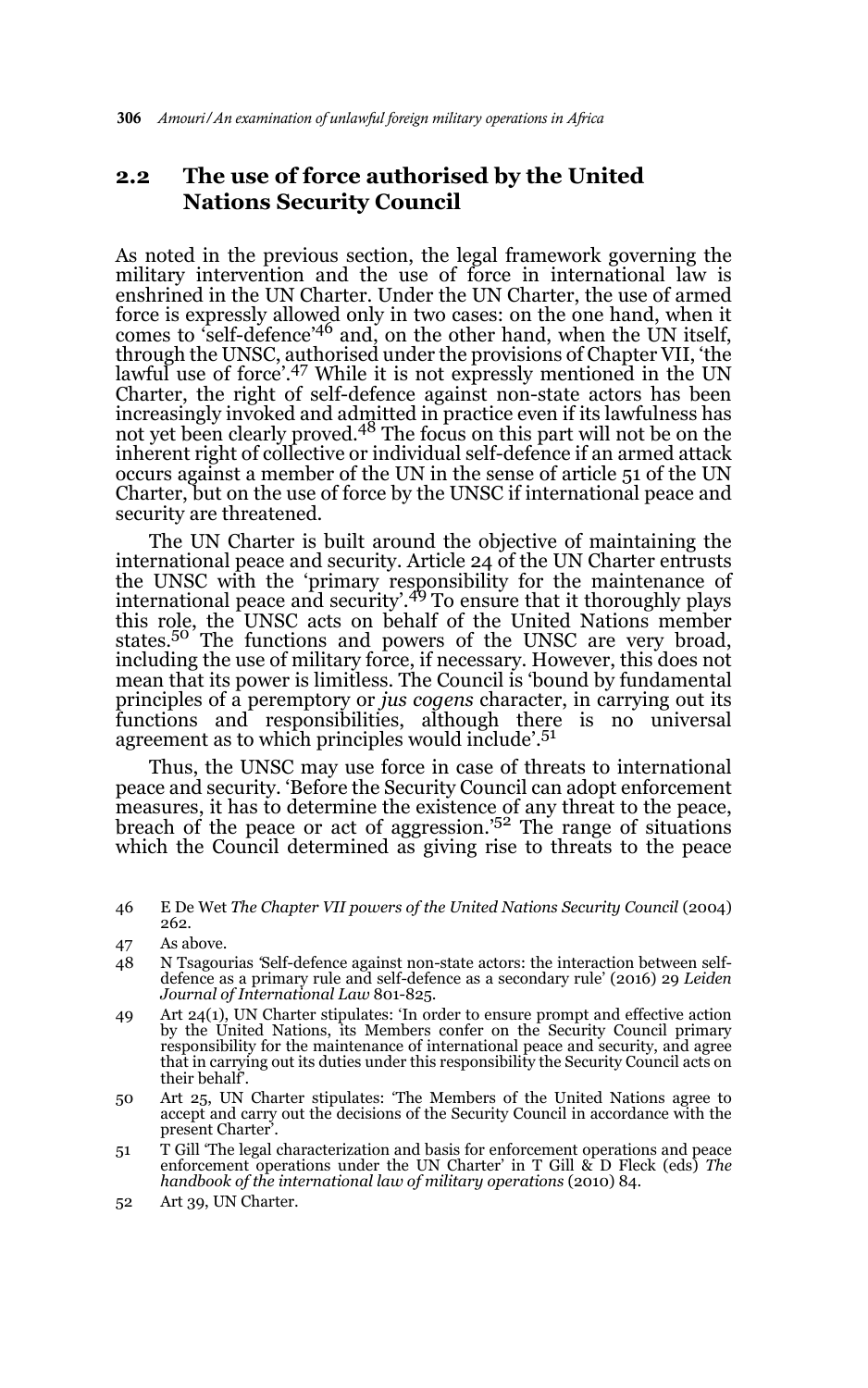## **2.2 The use of force authorised by the United Nations Security Council**

As noted in the previous section, the legal framework governing the military intervention and the use of force in international law is enshrined in the UN Charter. Under the UN Charter, the use of armed force is expressly allowed only in two cases: on the one hand, when it comes to 'self-defence'46 and, on the other hand, when the UN itself, through the UNSC, authorised under the provisions of Chapter VII, 'the lawful use of force'.47 While it is not expressly mentioned in the UN Charter, the right of self-defence against non-state actors has been increasingly invoked and admitted in practice even if its lawfulness has<br>not yet been clearly proved.<sup>48</sup> The focus on this part will not be on the inherent right of collective or individual self-defence if an armed attack occurs against a member of the UN in the sense of article 51 of the UN Charter, but on the use of force by the UNSC if international peace and security are threatened.

The UN Charter is built around the objective of maintaining the international peace and security. Article 24 of the UN Charter entrusts the UNSC with the 'primary responsibility for the maintenance of international peace and security'.<sup>49</sup> To ensure that it thoroughly plays this role, the UNSC acts on behalf of the United Nations member states.50 The functions and powers of the UNSC are very broad, including the use of military force, if necessary. However, this does not mean that its power is limitless. The Council is 'bound by fundamental principles of a peremptory or *jus cogens* character, in carrying out its functions and responsibilities, although there is no universal agreement as to which principles would include'.<sup>51</sup>

Thus, the UNSC may use force in case of threats to international peace and security. 'Before the Security Council can adopt enforcement measures, it has to determine the existence of any threat to the peace, breach of the peace or act of aggression.<sup>'52</sup> The range of situations which the Council determined as giving rise to threats to the peace

- 50 Art 25, UN Charter stipulates: 'The Members of the United Nations agree to accept and carry out the decisions of the Security Council in accordance with the present Charter<sup>5</sup>.
- 51 T Gill 'The legal characterization and basis for enforcement operations and peace enforcement operations under the UN Charter' in T Gill & D Fleck (eds) *The handbook of the international law of military operations* (2010) 84.
- 52 Art 39, UN Charter.

<sup>46</sup> E De Wet *The Chapter VII powers of the United Nations Security Council* (2004) 262.

<sup>47</sup> As above.

<sup>48</sup> N Tsagourias *'*Self-defence against non-state actors: the interaction between selfdefence as a primary rule and self-defence as a secondary rule' (2016) 29 *Leiden Journal of International Law* 801-825.

<sup>49</sup> Art 24(1), UN Charter stipulates: 'In order to ensure prompt and effective action by the United Nations, its Members confer on the Security Council primary responsibility for the maintenance of international peace and security, and agree that in carrying out its duties under this responsibility the Security Council acts on their behalf'.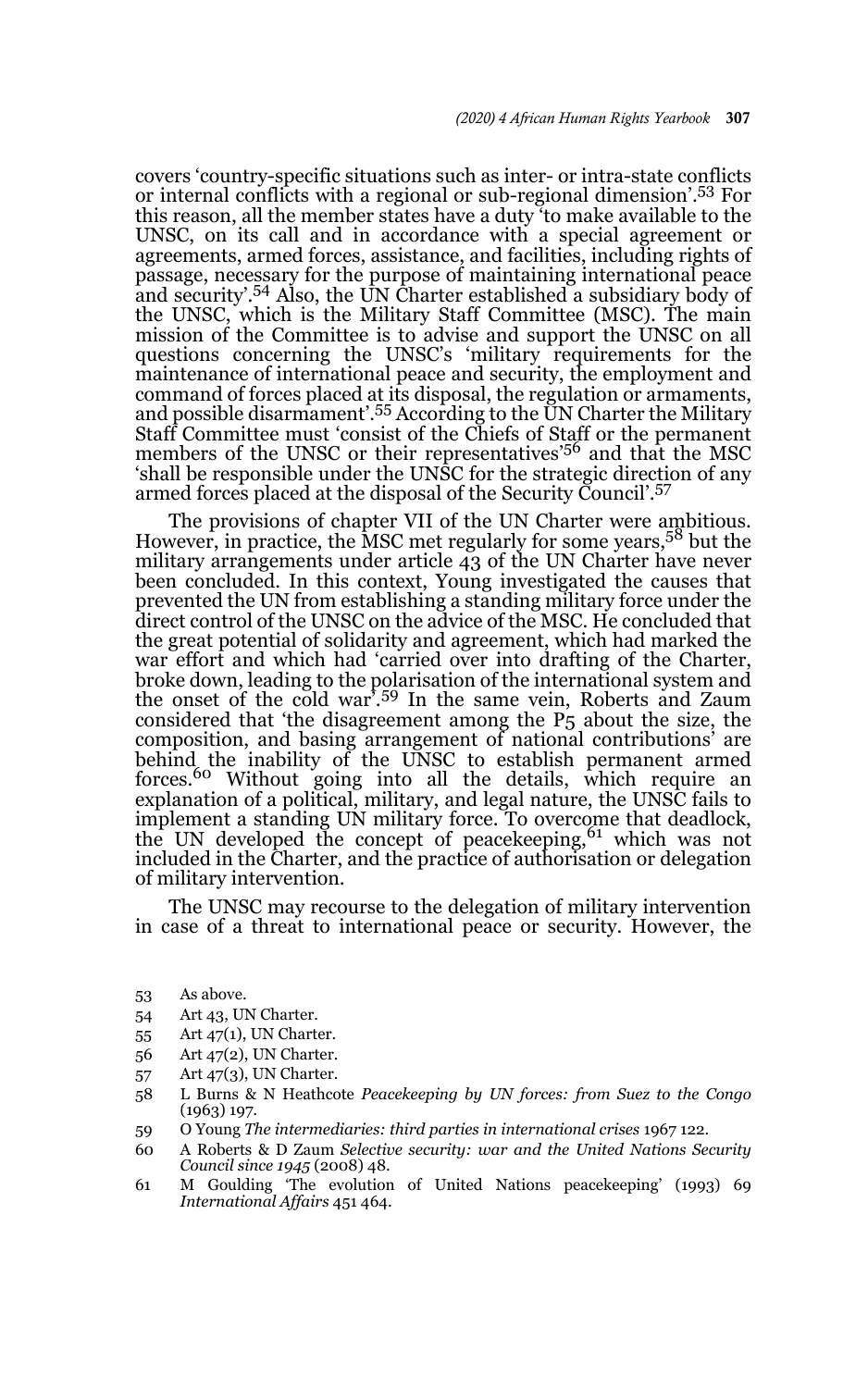covers 'country-specific situations such as inter- or intra-state conflicts or internal conflicts with a regional or sub-regional dimension'.53 For this reason, all the member states have a duty 'to make available to the UNSC, on its call and in accordance with a special agreement or agreements, armed forces, assistance, and facilities, including rights of passage, necessary for the purpose of maintaining international peace and security'.54 Also, the UN Charter established a subsidiary body of the UNSC, which is the Military Staff Committee (MSC). The main mission of the Committee is to advise and support the UNSC on all questions concerning the UNSC's 'military requirements for the maintenance of international peace and security, the employment and command of forces placed at its disposal, the regulation or armaments, and possible disarmament'.<sup>55</sup> According to the UN Charter the Military Staff Committee must 'consist of the Chiefs of Staff or the permanent<br>members of the UNSC or their representatives'<sup>56</sup> and that the MSC 'shall be responsible under the UNSC for the strategic direction of any armed forces placed at the disposal of the Security Council'.<sup>57</sup>

The provisions of chapter VII of the UN Charter were ambitious. However, in practice, the MSC met regularly for some years,<sup>58</sup> but the military arrangements under article 43 of the UN Charter have never been concluded. In this context, Young investigated the causes that prevented the UN from establishing a standing military force under the direct control of the UNSC on the advice of the MSC. He concluded that the great potential of solidarity and agreement, which had marked the war effort and which had 'carried over into drafting of the Charter, broke down, leading to the polarisation of the international system and the onset of the cold war'.59 In the same vein, Roberts and Zaum considered that 'the disagreement among the P5 about the size, the composition, and basing arrangement of national contributions' are behind the inability of the UNSC to establish permanent armed<br>forces.<sup>60</sup> Without going into all the details, which require an explanation of a political, military, and legal nature, the UNSC fails to implement a standing UN military force. To overcome that deadlock, the UN developed the concept of peacekeeping, <sup>61</sup> which was not included in the Charter, and the practice of authorisation or delegation of military intervention.

The UNSC may recourse to the delegation of military intervention in case of a threat to international peace or security. However, the

- 53 As above.
- 54 Art 43, UN Charter.
- 55 Art 47(1), UN Charter.
- 56 Art 47(2), UN Charter.
- 57 Art 47(3), UN Charter.
- 58 L Burns & N Heathcote *Peacekeeping by UN forces: from Suez to the Congo* (1963) 197*.*
- 59 O Young *The intermediaries: third parties in international crises* 1967 122.
- 60 A Roberts & D Zaum *Selective security: war and the United Nations Security Council since 1945* (2008) 48.
- 61 M Goulding 'The evolution of United Nations peacekeeping' (1993) 69 *International Affairs* 451 464.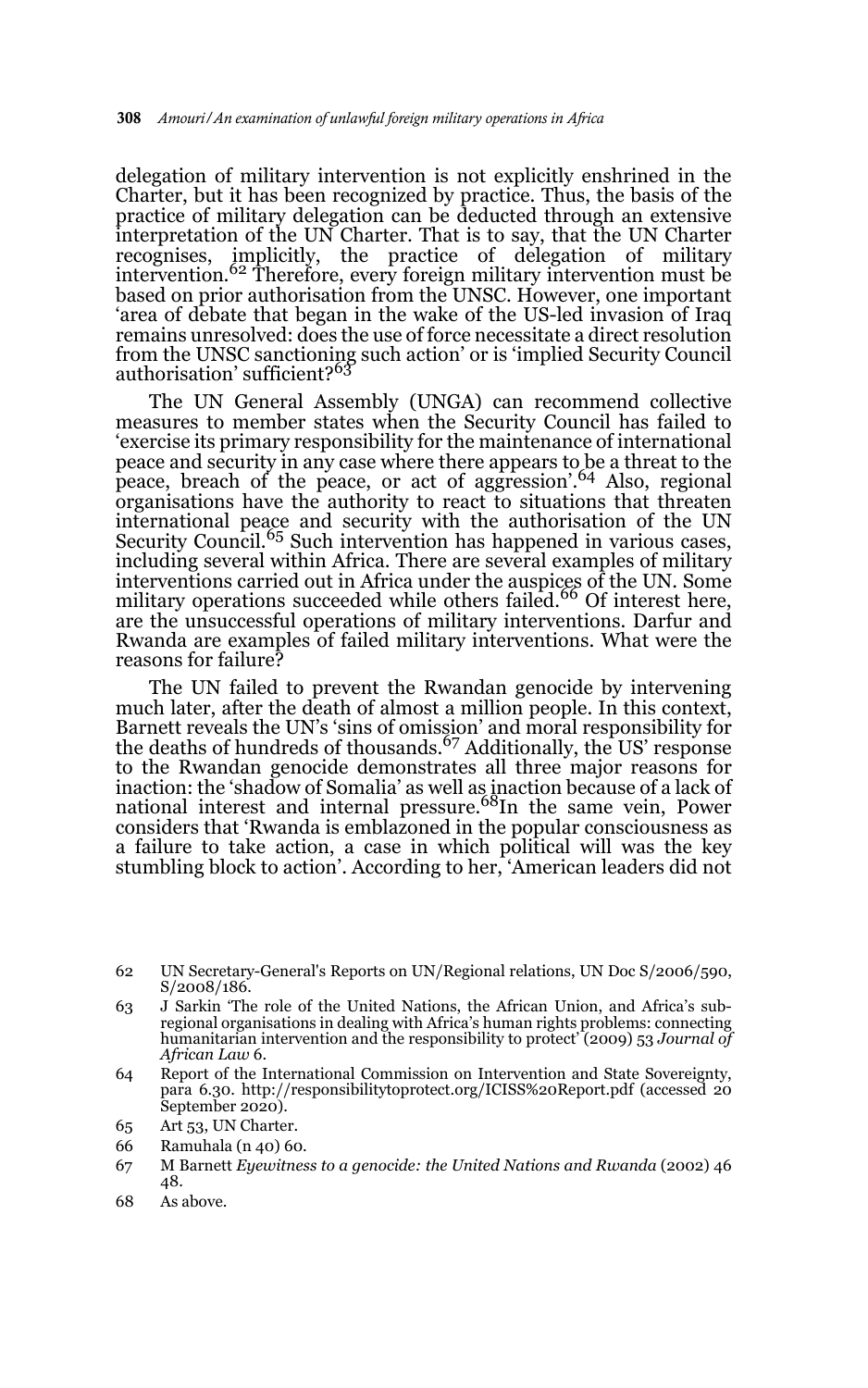delegation of military intervention is not explicitly enshrined in the Charter, but it has been recognized by practice. Thus, the basis of the practice of military delegation can be deducted through an extensive interpretation of the UN Charter. That is to say, that the UN Charter recognises, implicitly, the practice of delegation of military intervention*.* <sup>62</sup> Therefore, every foreign military intervention must be based on prior authorisation from the UNSC. However, one important 'area of debate that began in the wake of the US-led invasion of Iraq remains unresolved: does the use of force necessitate a direct resolution from the UNSC sanctioning such action' or is 'implied Security Council<br>authorisation' sufficient?<sup>63</sup>

The UN General Assembly (UNGA) can recommend collective measures to member states when the Security Council has failed to 'exercise its primary responsibility for the maintenance of international peace and security in any case where there appears to be a threat to the peace, breach of the peace, or act of aggression'.64 Also, regional organisations have the authority to react to situations that threaten international peace and security with the authorisation of the UN Security Council.<sup>65</sup> Such intervention has happened in various cases, including several within Africa. There are several examples of military interventions carried out in Africa under the auspices of the UN. Some military operations succeeded while others failed.<sup>66</sup> Of interest here, are the unsuccessful operations of military interventions. Darfur and Rwanda are examples of failed military interventions. What were the reasons for failure?

The UN failed to prevent the Rwandan genocide by intervening much later, after the death of almost a million people. In this context, Barnett reveals the UN's 'sins of omission' and moral responsibility for the deaths of hundreds of thousands.<sup>67</sup> Additionally, the US' response to the Rwandan genocide demonstrates all three major reasons for inaction: the 'shadow of Somalia' as well as inaction because of a lack of<br>national interest and internal pressure.<sup>68</sup>In the same vein, Power considers that 'Rwanda is emblazoned in the popular consciousness as a failure to take action, a case in which political will was the key stumbling block to action'. According to her, 'American leaders did not

- 66 Ramuhala (n 40) 60.
- 67 M Barnett *Eyewitness to a genocide: the United Nations and Rwanda* (2002) 46 48.
- 68 As above.

<sup>62</sup> UN Secretary-General's Reports on UN/Regional relations, UN Doc S/2006/590, S/2008/186.

<sup>63</sup> J Sarkin 'The role of the United Nations, the African Union, and Africa's subregional organisations in dealing with Africa's human rights problems: connecting humanitarian intervention and the responsibility to protect' (2009) 53 *Journal of African Law* 6.

<sup>64</sup> Report of the International Commission on Intervention and State Sovereignty, para 6.30. http://responsibilitytoprotect.org/ICISS%20Report.pdf (accessed 20 September 2020).

<sup>65</sup> Art 53, UN Charter.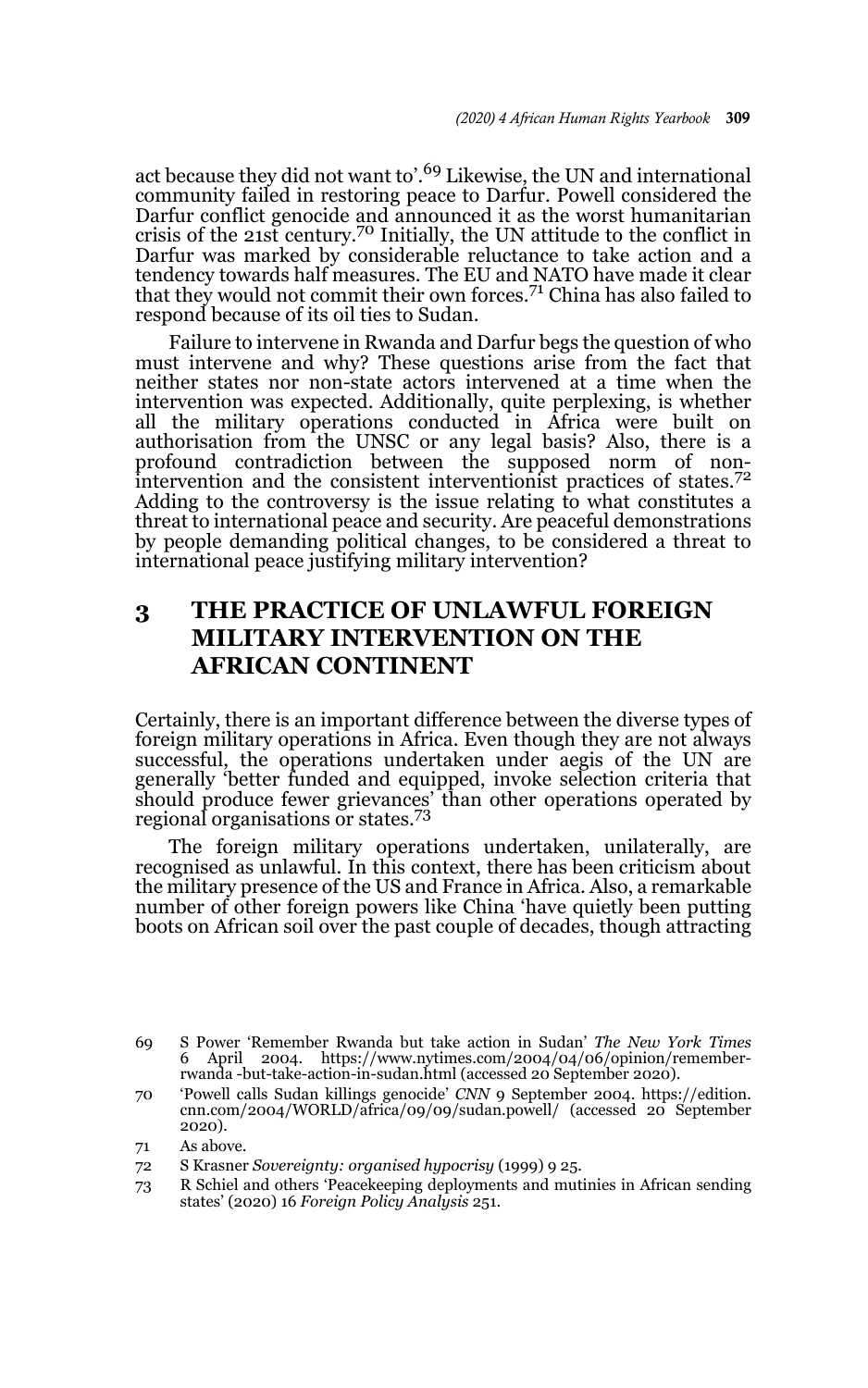act because they did not want to'.69 Likewise, the UN and international community failed in restoring peace to Darfur. Powell considered the Darfur conflict genocide and announced it as the worst humanitarian crisis of the 21st century.70 Initially, the UN attitude to the conflict in Darfur was marked by considerable reluctance to take action and a tendency towards half measures. The EU and NATO have made it clear<br>that they would not commit their own forces.<sup>71</sup> China has also failed to respond because of its oil ties to Sudan.

Failure to intervene in Rwanda and Darfur begs the question of who must intervene and why? These questions arise from the fact that neither states nor non-state actors intervened at a time when the intervention was expected. Additionally, quite perplexing, is whether all the military operations conducted in Africa were built on authorisation from the UNSC or any legal basis? Also, there is a profound contradiction between the supposed norm of nonintervention and the consistent interventionist practices of states.<sup>72</sup> Adding to the controversy is the issue relating to what constitutes a threat to international peace and security. Are peaceful demonstrations by people demanding political changes, to be considered a threat to international peace justifying military intervention?

## **3 THE PRACTICE OF UNLAWFUL FOREIGN MILITARY INTERVENTION ON THE AFRICAN CONTINENT**

Certainly, there is an important difference between the diverse types of foreign military operations in Africa. Even though they are not always successful, the operations undertaken under aegis of the UN are generally 'better funded and equipped, invoke selection criteria that should produce fewer grievances' than other operations operated by regional organisations or states.<sup>73</sup>

The foreign military operations undertaken, unilaterally, are recognised as unlawful. In this context, there has been criticism about the military presence of the US and France in Africa. Also, a remarkable number of other foreign powers like China 'have quietly been putting boots on African soil over the past couple of decades, though attracting

<sup>69</sup> S Power 'Remember Rwanda but take action in Sudan' *The New York Times* 6 April 2004. https://www.nytimes.com/2004/04/06/opinion/rememberrwanda -but-take-action-in-sudan.html (accessed 20 September 2020).

<sup>70 &#</sup>x27;Powell calls Sudan killings genocide' *CNN* 9 September 2004. https://edition. cnn.com/2004/WORLD/africa/09/09/sudan.powell/ (accessed 20 September 2020).

<sup>71</sup> As above.

<sup>72</sup> S Krasner *Sovereignty: organised hypocrisy* (1999) 9 25.

<sup>73</sup> R Schiel and others 'Peacekeeping deployments and mutinies in African sending states' (2020) 16 *Foreign Policy Analysis* 251.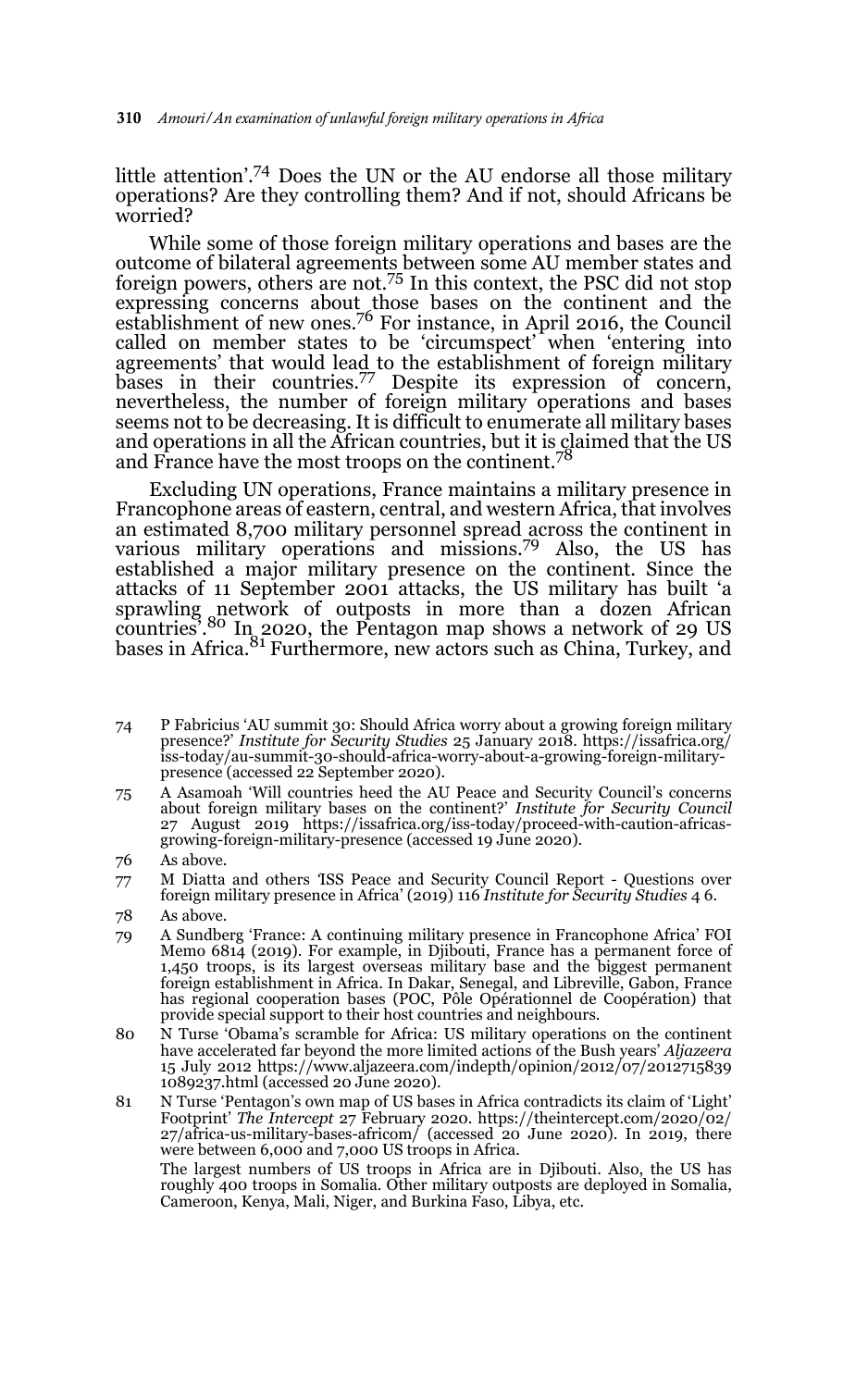little attention'.74 Does the UN or the AU endorse all those military operations? Are they controlling them? And if not, should Africans be worried?

While some of those foreign military operations and bases are the outcome of bilateral agreements between some AU member states and foreign powers, others are not.75 In this context, the PSC did not stop expressing concerns about those bases on the continent and the establishment of new ones.76 For instance, in April 2016, the Council called on member states to be 'circumspect' when 'entering into agreements' that would lead to the establishment of foreign military bases in their countries.77 Despite its expression of concern, nevertheless, the number of foreign military operations and bases seems not to be decreasing. It is difficult to enumerate all military bases and operations in all the African countries, but it is claimed that the US and France have the most troops on the continent.<sup>78</sup>

Excluding UN operations, France maintains a military presence in Francophone areas of eastern, central, and western Africa, that involves an estimated 8,700 military personnel spread across the continent in various military operations and missions.79 Also, the US has established a major military presence on the continent. Since the attacks of 11 September 2001 attacks, the US military has built 'a sprawling network of outposts in more than a dozen African countries<sup>'</sup>.<sup>80</sup> In 2020, the Pentagon map shows a network of 29 US  $\frac{81}{100}$  and  $\frac{81}{100}$  Furthermore, new actors such as China, Turkey, and

- 74 P Fabricius 'AU summit 30: Should Africa worry about a growing foreign military presence?' *Institute for Security Studies* 25 January 2018. https://issafrica.org/ iss-today/au-summit-30-should-africa-worry-about-a-growing-foreign-militarypresence (accessed 22 September 2020).
- 75 A Asamoah 'Will countries heed the AU Peace and Security Council's concerns about foreign military bases on the continent?' *Institute for Security Council* 27 August 2019 https://issafrica.org/iss-today/proceed-with-caution-africasgrowing-foreign-military-presence (accessed 19 June 2020).
- 76 As above.
- 77 M Diatta and others *'*ISS Peace and Security Council Report Questions over foreign military presence in Africa' (2019) 116 *Institute for Security Studies* 4 6.
- 78 As above.
- 79 A Sundberg 'France: A continuing military presence in Francophone Africa' FOI Memo 6814 (2019). For example, in Djibouti, France has a permanent force of 1,450 troops, is its largest overseas military base and the biggest permanent foreign establishment in Africa. In Dakar, Senegal, and Libreville, Gabon, France has regional cooperation bases (POC, Pôle Opérationnel de Coopération) that provide special support to their host countries and neighbours.
- 80 N Turse 'Obama's scramble for Africa: US military operations on the continent have accelerated far beyond the more limited actions of the Bush years' *Aljazeera* 15 July 2012 https://www.aljazeera.com/indepth/opinion/2012/07/2012715839 1089237.html (accessed 20 June 2020).
- 81 N Turse 'Pentagon's own map of US bases in Africa contradicts its claim of 'Light' Footprint' *The Intercept* 27 February 2020. https://theintercept.com/2020/02/ 27/africa-us-military-bases-africom/ (accessed 20 June 2020). In 2019, there were between 6,000 and 7,000 US troops in Africa.

The largest numbers of US troops in Africa are in Djibouti. Also, the US has roughly 400 troops in Somalia. Other military outposts are deployed in Somalia, Cameroon, Kenya, Mali, Niger, and Burkina Faso, Libya, etc.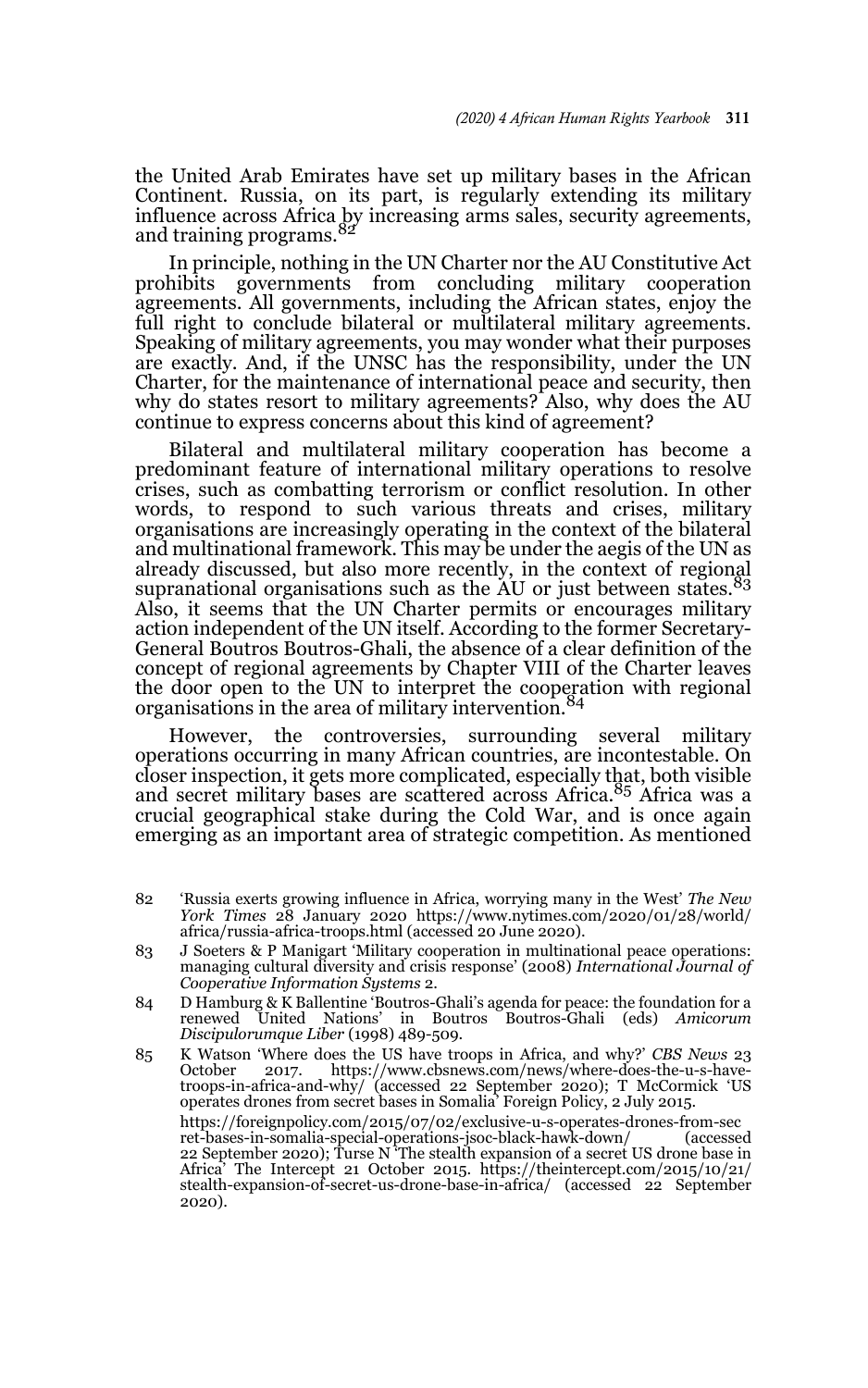the United Arab Emirates have set up military bases in the African Continent. Russia, on its part, is regularly extending its military influence across Africa by increasing arms sales, security agreements, and training programs.

In principle, nothing in the UN Charter nor the AU Constitutive Act prohibits governments from concluding military cooperation agreements. All governments, including the African states, enjoy the full right to conclude bilateral or multilateral military agreements. Speaking of military agreements, you may wonder what their purposes are exactly. And, if the UNSC has the responsibility, under the UN Charter, for the maintenance of international peace and security, then why do states resort to military agreements? Also, why does the AU continue to express concerns about this kind of agreement?

Bilateral and multilateral military cooperation has become a predominant feature of international military operations to resolve crises, such as combatting terrorism or conflict resolution. In other words, to respond to such various threats and crises, military organisations are increasingly operating in the context of the bilateral and multinational framework. This may be under the aegis of the UN as already discussed, but also more recently, in the context of regional supranational organisations such as the  $\text{AU}$  or just between states.<sup>83</sup> Also, it seems that the UN Charter permits or encourages military action independent of the UN itself. According to the former Secretary-General Boutros Boutros-Ghali, the absence of a clear definition of the concept of regional agreements by Chapter VIII of the Charter leaves the door open to the UN to interpret the cooperation with regional organisations in the area of military intervention.<sup>84</sup>

However, the controversies, surrounding several military operations occurring in many African countries, are incontestable. On closer inspection, it gets more complicated, especially that, both visible<br>and secret military bases are scattered across Africa.<sup>85</sup> Africa was a crucial geographical stake during the Cold War, and is once again emerging as an important area of strategic competition. As mentioned

- 83 J Soeters & P Manigart 'Military cooperation in multinational peace operations: managing cultural diversity and crisis response' (2008) *International Journal of Cooperative Information Systems* 2.
- 84 D Hamburg & K Ballentine 'Boutros-Ghali's agenda for peace: the foundation for a renewed United Nations' in Boutros Boutros-Ghali (eds) *Amicorum Discipulorumque Liber* (1998) 489-509.
- 85 K Watson 'Where does the US have troops in Africa, and why?' *CBS News* 23 October 2017. https://www.cbsnews.com/news/where-does-the-u-s-havetroops-in-africa-and-why/ (accessed 22 September 2020); T McCormick 'US operates drones from secret bases in Somalia' Foreign Policy, 2 July 2015. https://foreignpolicy.com/2015/07/02/exclusive-u-s-operates-drones-from-sec ret-bases-in-somalia-special-operations-jsoc-black-hawk-down/ (accessed 22 September 2020); Turse N<sup>7</sup>The stealth expansion of a secret US drone base in Africa' The Intercept 21 October 2015. https://theintercept.com/2015/10/21/ stealth-expansion-of-secret-us-drone-base-in-africa/ (accessed 22 September 2020).

<sup>82 &#</sup>x27;Russia exerts growing influence in Africa, worrying many in the West' *The New York Times* 28 January 2020 https://www.nytimes.com/2020/01/28/world/ africa/russia-africa-troops.html (accessed 20 June 2020).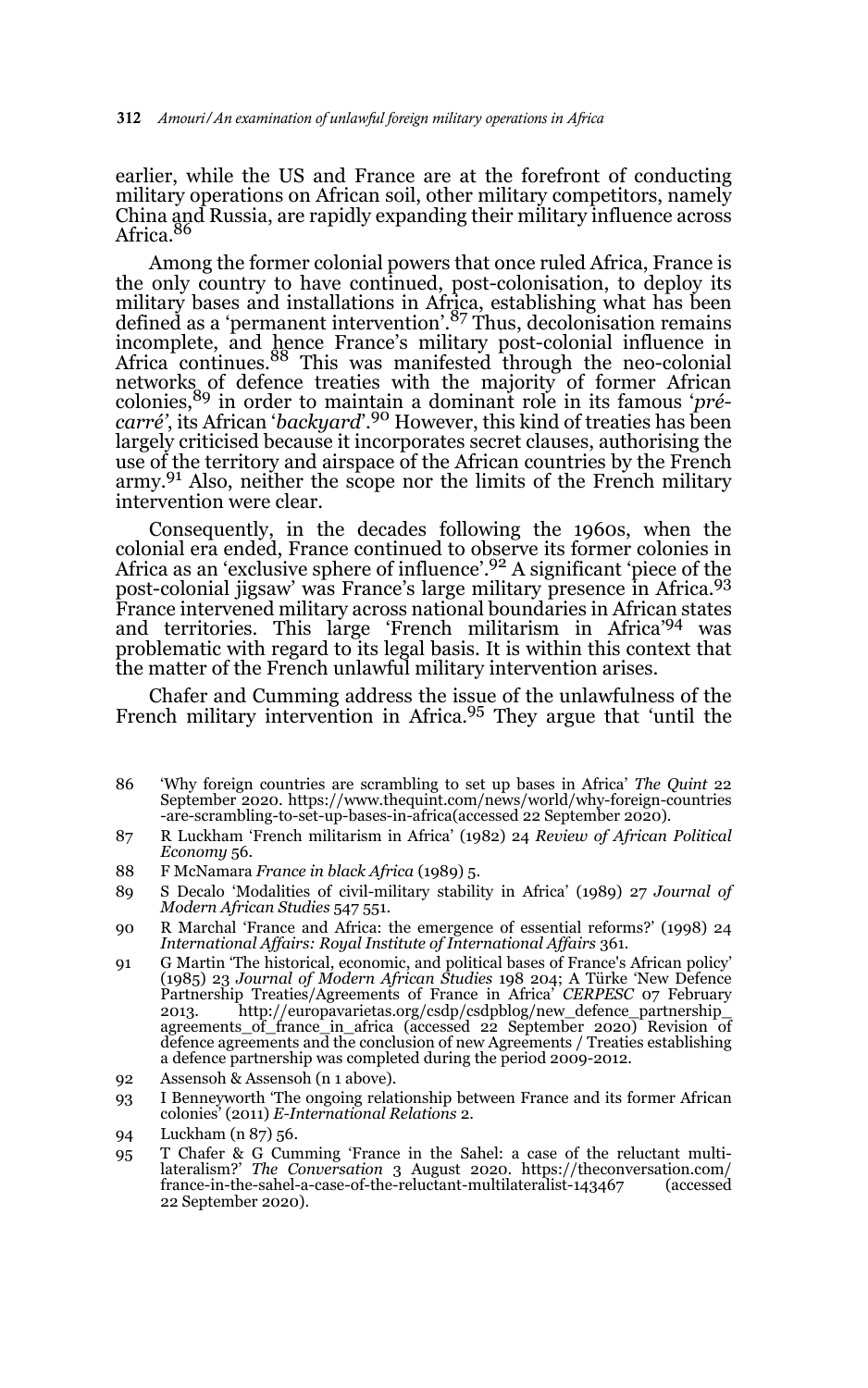earlier, while the US and France are at the forefront of conducting military operations on African soil, other military competitors, namely China and Russia, are rapidly expanding their military influence across Africa.

Among the former colonial powers that once ruled Africa, France is the only country to have continued, post-colonisation, to deploy its military bases and installations in Africa, establishing what has been defined as a 'permanent intervention'.87 Thus, decolonisation remains incomplete, and hence France's military post-colonial influence in Africa continues.88 This was manifested through the neo-colonial networks of defence treaties with the majority of former African colonies,89 in order to maintain a dominant role in its famous '*précarré'*, its African '*backyard*'.90 However, this kind of treaties has been largely criticised because it incorporates secret clauses, authorising the use of the territory and airspace of the African countries by the French army.<sup>91</sup> Also, neither the scope nor the limits of the French military intervention were clear.

Consequently, in the decades following the 1960s, when the colonial era ended, France continued to observe its former colonies in Africa as an 'exclusive sphere of influence'.92 A significant 'piece of the post-colonial jigsaw' was France's large military presence in Africa.<sup>93</sup> France intervened military across national boundaries in African states and territories. This large 'French militarism in Africa'94 was problematic with regard to its legal basis. It is within this context that the matter of the French unlawful military intervention arises.

Chafer and Cumming address the issue of the unlawfulness of the French military intervention in Africa.<sup>95</sup> They argue that 'until the

- 87 R Luckham 'French militarism in Africa' (1982) 24 *Review of African Political Economy* 56.
- 88 F McNamara *France in black Africa* (1989) 5.
- 89 S Decalo 'Modalities of civil-military stability in Africa' (1989) 27 *Journal of Modern African Studies* 547 551.
- 90 R Marchal 'France and Africa: the emergence of essential reforms?' (1998) 24 *International Affairs: Royal Institute of International Affairs* 361.
- 91 G Martin 'The historical, economic, and political bases of France's African policy' (1985) 23 Journal of Modern African Studies 198 204; A Türke 'New Defence<br>Partnership Treaties/Agreements of France in Africa' CERPESC 2013. http://europavarietas.org/csdp/csdpblog/new\_defence\_partnership\_ agreements\_of\_france\_in\_africa (accessed 22 September 2020) Revision of<br>defence agreements and the conclusion of new Agreements / Treaties establishing a defence partnership was completed during the period 2009-2012.
- 92 Assensoh & Assensoh (n 1 above).
- 93 I Benneyworth 'The ongoing relationship between France and its former African colonies' (2011) *E-International Relations* 2.

<sup>86 &#</sup>x27;Why foreign countries are scrambling to set up bases in Africa' *The Quint* 22 September 2020. https://www.thequint.com/news/world/why-foreign-countries -are-scrambling-to-set-up-bases-in-africa(accessed 22 September 2020).

<sup>94</sup> Luckham (n 87) 56.

<sup>95</sup> T Chafer & G Cumming 'France in the Sahel: a case of the reluctant multilateralism?' *The Conversation* 3 August 2020. https://theconversation.com/ france-in-the-sahel-a-case-of-the-reluctant-multilateralist-143467 22 September 2020).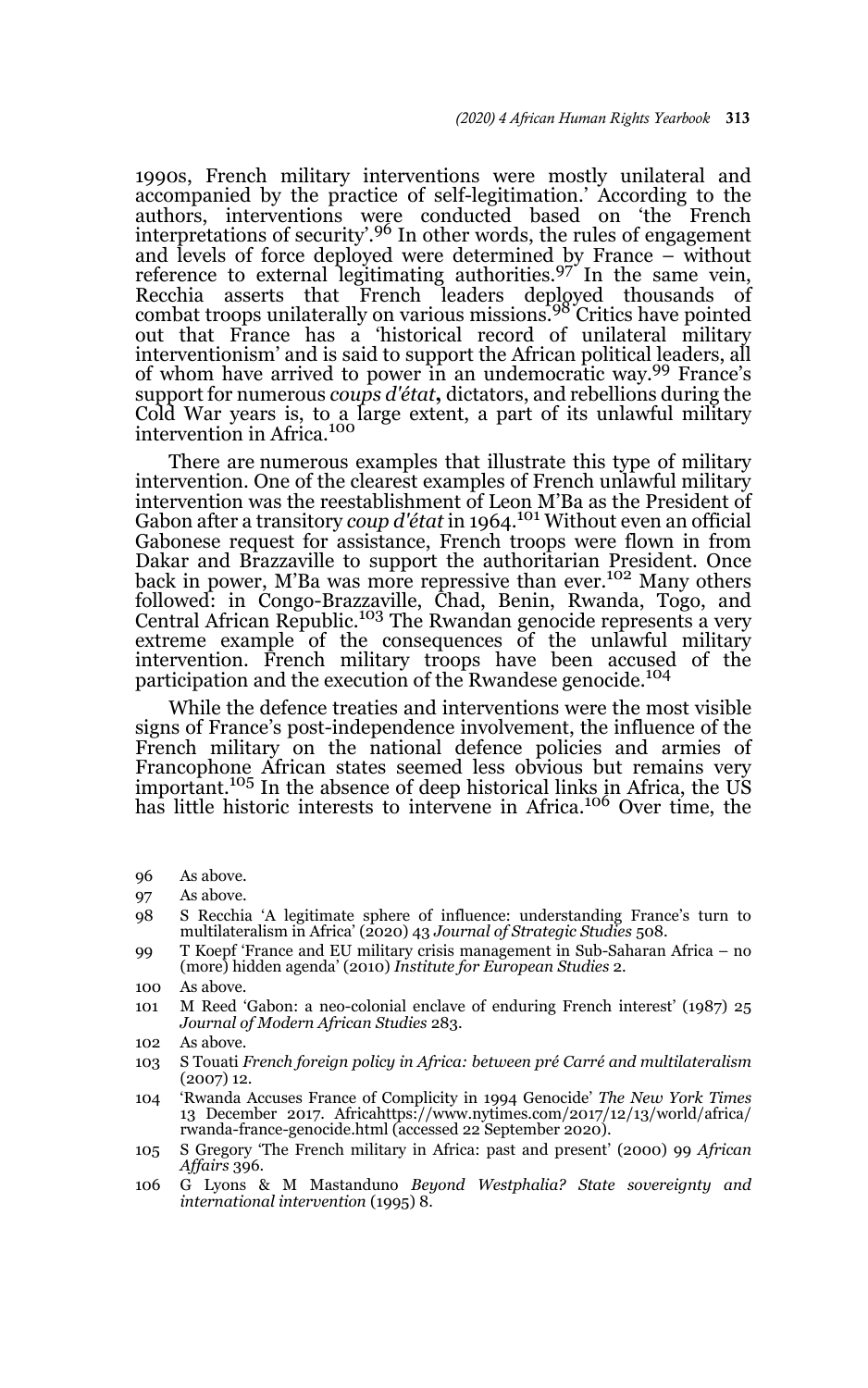1990s, French military interventions were mostly unilateral and accompanied by the practice of self-legitimation.' According to the authors, interventions were conducted based on 'the French interpretations of security'.<sup>96</sup> In other words, the rules of engagement and levels of force deployed were determined by France – without reference to external legitimating authorities.<sup>97</sup> In the same vein, Recchia asserts that French leaders deployed thousands of combat troops unilaterally on various missions.98 Critics have pointed out that France has a 'historical record of unilateral military interventionism' and is said to support the African political leaders, all of whom have arrived to power in an undemocratic way.99 France's support for numerous *coups d'état***,** dictators, and rebellions during the Cold War years is, to a large extent, a part of its unlawful military<br>intervention in Africa.<sup>100</sup>

There are numerous examples that illustrate this type of military intervention. One of the clearest examples of French unlawful military intervention was the reestablishment of Leon M'Ba as the President of Gabon after a transitory *coup d'état* in 1964.<sup>101</sup> Without even an official Gabonese request for assistance, French troops were flown in from Dakar and Brazzaville to support the authoritarian President. Once back in power, M'Ba was more repressive than ever.102 Many others followed: in Congo-Brazzaville, Chad, Benin, Rwanda, Togo, and<br>Central African Republic.<sup>103</sup> The Rwandan genocide represents a very extreme example of the consequences of the unlawful military intervention. French military troops have been accused of the participation and the execution of the Rwandese genocide.<sup>104</sup>

While the defence treaties and interventions were the most visible signs of France's post-independence involvement, the influence of the French military on the national defence policies and armies of Francophone African states seemed less obvious but remains very<br>important.<sup>105</sup> In the absence of deep historical links in Africa, the US has little historic interests to intervene in Africa.<sup>106</sup> Over time, the

- 96 As above.
- 97 As above.
- 98 S Recchia 'A legitimate sphere of influence: understanding France's turn to multilateralism in Africa' (2020) 43 *Journal of Strategic Studies* 508.
- 99 T Koepf 'France and EU military crisis management in Sub-Saharan Africa no (more) hidden agenda' (2010) *Institute for European Studies* 2.
- 100 As above.
- 101 M Reed 'Gabon: a neo-colonial enclave of enduring French interest' (1987) 25 *Journal of Modern African Studies* 283.
- 102 As above.
- 103 S Touati *French foreign policy in Africa: between pré Carré and multilateralism* (2007) 12.
- 104 'Rwanda Accuses France of Complicity in 1994 Genocide' *The New York Times* 13 December 2017. Africahttps://www.nytimes.com/2017/12/13/world/africa/ rwanda-france-genocide.html (accessed 22 September 2020).
- 105 S Gregory 'The French military in Africa: past and present' (2000) 99 *African Affairs* 396.
- 106 G Lyons & M Mastanduno *Beyond Westphalia? State sovereignty and international intervention* (1995) 8.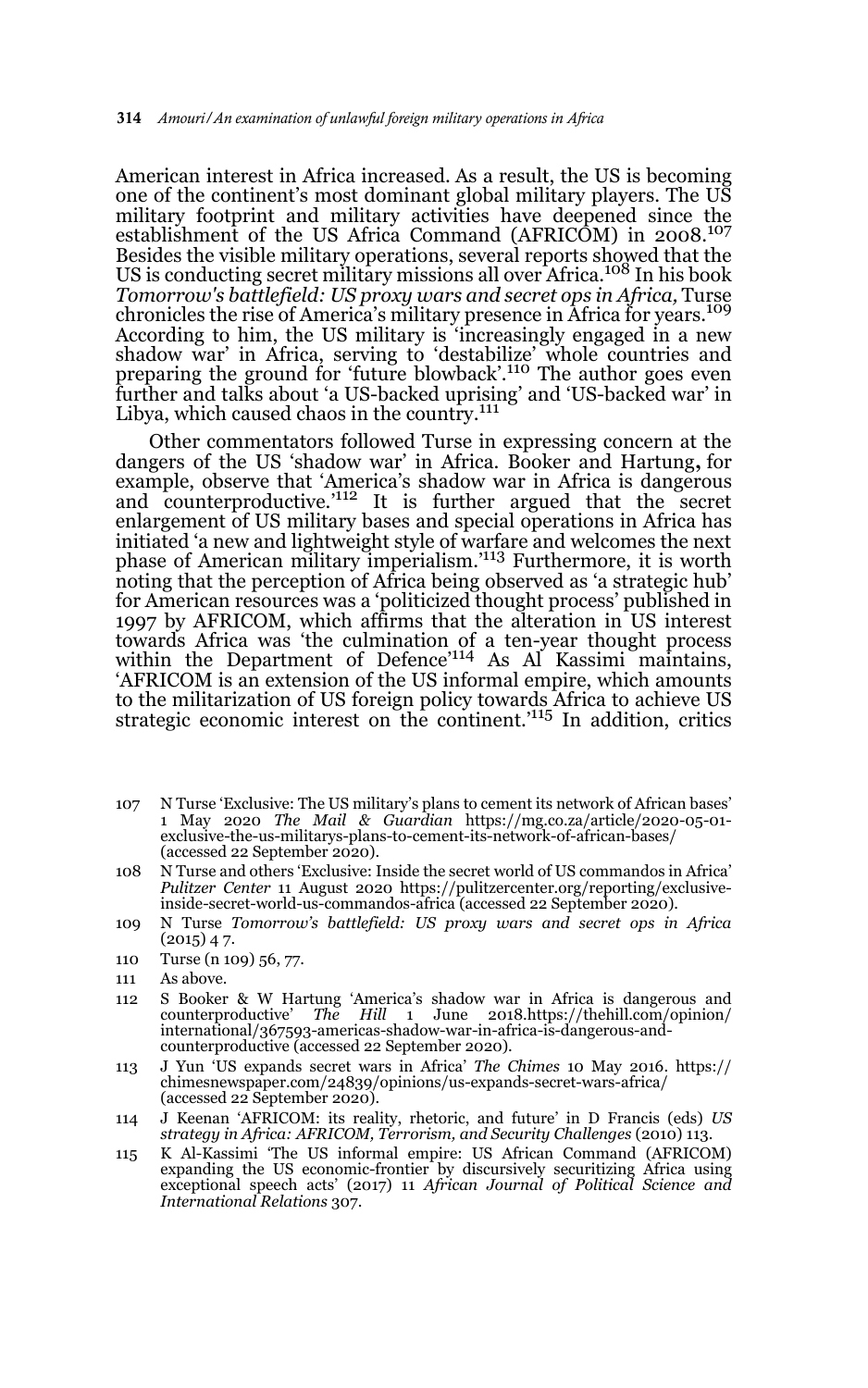American interest in Africa increased. As a result, the US is becoming one of the continent's most dominant global military players. The US military footprint and military activities have deepened since the establishment of the US Africa Command (AFRICOM) in 2008.<sup>107</sup> Besides the visible military operations, several reports showed that the US is conducting secret military missions all over Africa.<sup>108</sup> In his book *Tomorrow's battlefield: US proxy wars and secret ops in Africa,* Turse chronicles the rise of America's military presence in Africa for years.<sup>109</sup> According to him, the US military is 'increasingly engaged in a new shadow war' in Africa, serving to 'destabilize' whole countries and preparing the ground for 'future blowback'.110 The author goes even further and talks about 'a US-backed uprising' and 'US-backed war' in Libya, which caused chaos in the country.<sup>111</sup>

Other commentators followed Turse in expressing concern at the dangers of the US 'shadow war' in Africa. Booker and Hartung**,** for example, observe that 'America's shadow war in Africa is dangerous<br>and counterproductive.'<sup>112</sup> It is further argued that the secret enlargement of US military bases and special operations in Africa has initiated 'a new and lightweight style of warfare and welcomes the next<br>phase of American military imperialism.'<sup>113</sup> Furthermore, it is worth noting that the perception of Africa being observed as 'a strategic hub' for American resources was a 'politicized thought process' published in 1997 by AFRICOM, which affirms that the alteration in US interest towards Africa was 'the culmination of a ten-year thought process within the Department of Defence'114 As Al Kassimi maintains, 'AFRICOM is an extension of the US informal empire, which amounts to the militarization of US foreign policy towards Africa to achieve US strategic economic interest on the continent.'115 In addition, critics

- 107 N Turse 'Exclusive: The US military's plans to cement its network of African bases' 1 May 2020 *The Mail & Guardian* https://mg.co.za/article/2020-05-01 exclusive-the-us-militarys-plans-to-cement-its-network-of-african-bases/ (accessed 22 September 2020).
- 108 N Turse and others 'Exclusive: Inside the secret world of US commandos in Africa' *Pulitzer Center* 11 August 2020 https://pulitzercenter.org/reporting/exclusiveinside-secret-world-us-commandos-africa (accessed 22 September 2020).
- 109 N Turse *Tomorrow's battlefield: US proxy wars and secret ops in Africa*  $(2015)$  47.
- 110 Turse (n 109) 56, 77.
- 111 As above.
- 112 S Booker & W Hartung 'America's shadow war in Africa is dangerous and counterproductive' *The Hill* 1 June 2018.https://thehill.com/opinion/ international/367593-americas-shadow-war-in-africa-is-dangerous-andcounterproductive (accessed 22 September 2020).
- 113 J Yun 'US expands secret wars in Africa' *The Chimes* 10 May 2016. https:// chimesnewspaper.com/24839/opinions/us-expands-secret-wars-africa/ (accessed 22 September 2020).
- 114 J Keenan 'AFRICOM: its reality, rhetoric, and future' in D Francis (eds) *US strategy in Africa: AFRICOM, Terrorism, and Security Challenges* (2010) 113.
- 115 K Al-Kassimi 'The US informal empire: US African Command (AFRICOM) expanding the US economic-frontier by discursively securitizing Africa using exceptional speech acts' (2017) 11 *African Journal of Political Science and International Relations* 307.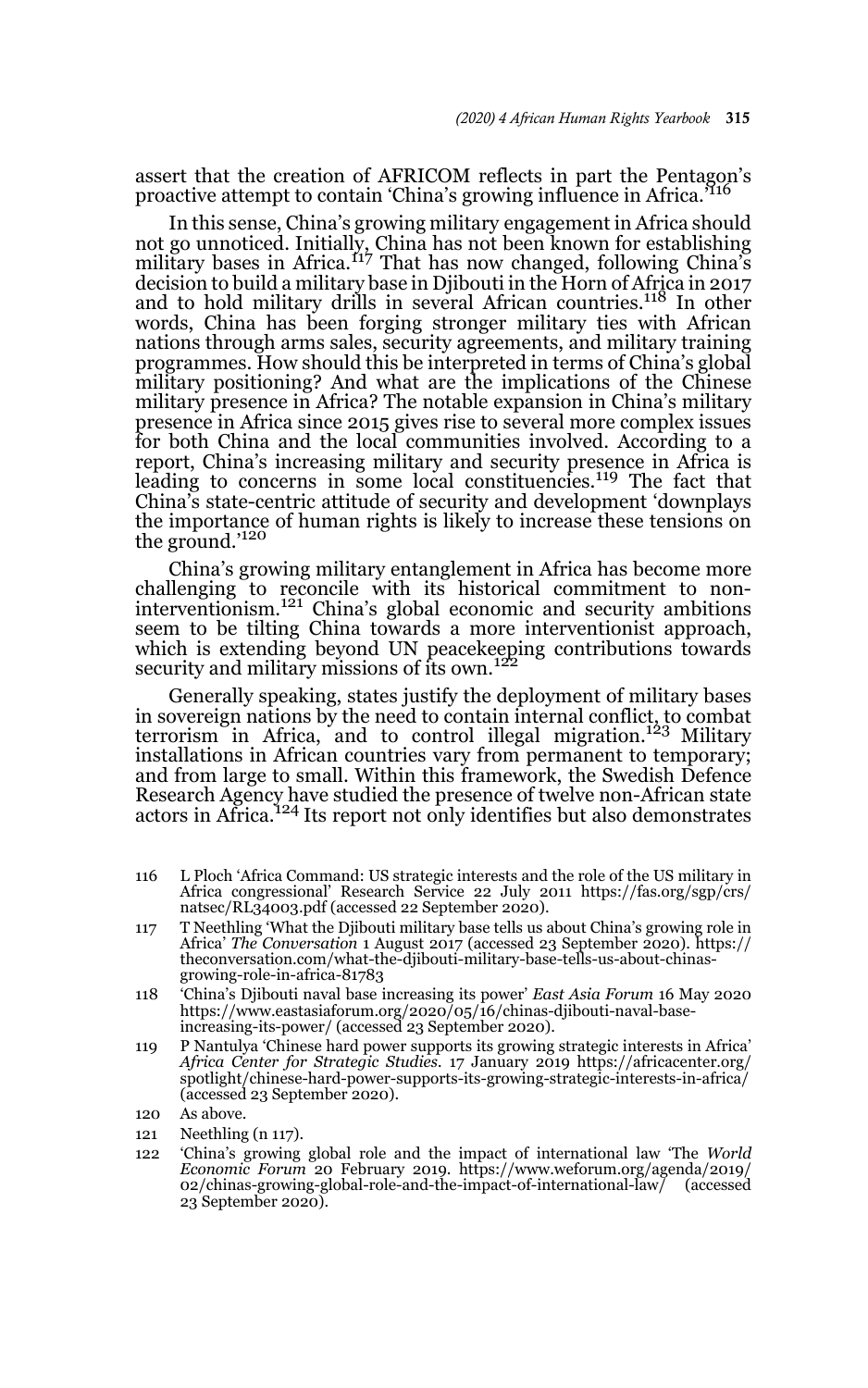assert that the creation of AFRICOM reflects in part the Pentagon's proactive attempt to contain 'China's growing influence in Africa.'

In this sense, China's growing military engagement in Africa should not go unnoticed. Initially, China has not been known for establishing military bases in Africa.117 That has now changed, following China's decision to build a military base in Djibouti in the Horn of Africa in 2017 and to hold military drills in several African countries.<sup>118</sup> In other words, China has been forging stronger military ties with African nations through arms sales, security agreements, and military training programmes. How should this be interpreted in terms of China's global military positioning? And what are the implications of the Chinese military presence in Africa? The notable expansion in China's military presence in Africa since 2015 gives rise to several more complex issues for both China and the local communities involved. According to a report, China's increasing military and security presence in Africa is leading to concerns in some local constituencies.<sup>119</sup> The fact that China's state-centric attitude of security and development 'downplays the importance of human rights is likely to increase these tensions on the ground.'<sup>120</sup>

China's growing military entanglement in Africa has become more challenging to reconcile with its historical commitment to noninterventionism.121 China's global economic and security ambitions seem to be tilting China towards a more interventionist approach, which is extending beyond UN peacekeeping contributions towards<br>security and military missions of its own.<sup>122</sup>

Generally speaking, states justify the deployment of military bases in sovereign nations by the need to contain internal conflict, to combat terrorism in Africa, and to control illegal migration.123 Military installations in African countries vary from permanent to temporary; and from large to small. Within this framework, the Swedish Defence Research Agency have studied the presence of twelve non-African state<br>actors in Africa.<sup>124</sup> Its report not only identifies but also demonstrates

- 116 L Ploch 'Africa Command: US strategic interests and the role of the US military in Africa congressional' Research Service 22 July 2011 https://fas.org/sgp/crs/ natsec/RL34003.pdf (accessed 22 September 2020).
- 117 T Neethling 'What the Djibouti military base tells us about China's growing role in Africa' *The Conversation* 1 August 2017 (accessed 23 September 2020). https:// theconversation.com/what-the-djibouti-military-base-tells-us-about-chinasgrowing-role-in-africa-81783
- 118 'China's Djibouti naval base increasing its power' *East Asia Forum* 16 May 2020 https://www.eastasiaforum.org/2020/05/16/chinas-djibouti-naval-baseincreasing-its-power/ (accessed 23 September 2020).
- 119 P Nantulya 'Chinese hard power supports its growing strategic interests in Africa' *Africa Center for Strategic Studies.* 17 January 2019 https://africacenter.org/ spotlight/chinese-hard-power-supports-its-growing-strategic-interests-in-africa/ (accessed 23 September 2020).
- 120 As above.
- 121 Neethling (n 117).
- 122 'China's growing global role and the impact of international law 'The *World Economic Forum* 20 February 2019. https://www.weforum.org/agenda/2019/ 02/chinas-growing-global-role-and-the-impact-of-international-law/ (accessed 23 September 2020).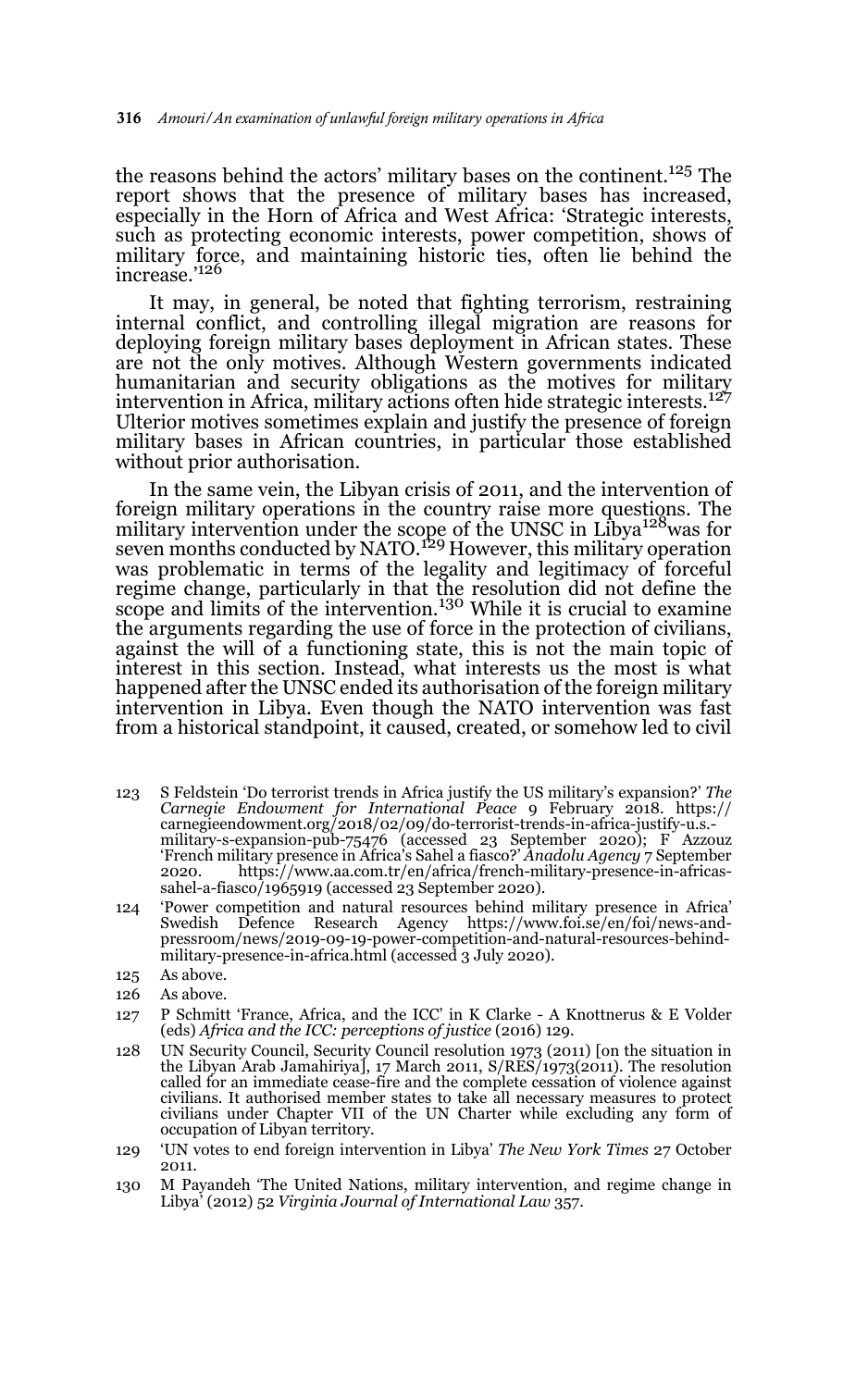the reasons behind the actors' military bases on the continent.125 The report shows that the presence of military bases has increased, especially in the Horn of Africa and West Africa: 'Strategic interests, such as protecting economic interests, power competition, shows of military force, and maintaining historic ties, often lie behind the increase.'126

It may, in general, be noted that fighting terrorism, restraining internal conflict, and controlling illegal migration are reasons for deploying foreign military bases deployment in African states. These are not the only motives. Although Western governments indicated humanitarian and security obligations as the motives for military intervention in Africa, military actions often hide strategic interests.<sup>127</sup> Ulterior motives sometimes explain and justify the presence of foreign military bases in African countries, in particular those established without prior authorisation.

In the same vein, the Libyan crisis of 2011, and the intervention of foreign military operations in the country raise more questions. The military intervention under the scope of the UNSC in Libya<sup>128</sup>was for seven months conducted by NATO.<sup>129</sup> However, this military operation was problematic in terms of the legality and legitimacy of forceful regime change, particularly in that the resolution did not define the scope and limits of the intervention.<sup>130</sup> While it is crucial to examine the arguments regarding the use of force in the protection of civilians, against the will of a functioning state, this is not the main topic of interest in this section. Instead, what interests us the most is what happened after the UNSC ended its authorisation of the foreign military intervention in Libya. Even though the NATO intervention was fast from a historical standpoint, it caused, created, or somehow led to civil

- 123 S Feldstein 'Do terrorist trends in Africa justify the US military's expansion?' *The Carnegie Endowment for International Peace* 9 February 2018. https:// carnegieendowment.org/2018/02/09/do-terrorist-trends-in-africa-justify-u.s.- military-s-expansion-pub-75476 (accessed 23 September 2020); F Azzouz 'French military presence in Africa's Sahel a fiasco?' *Anadolu Agency* 7 September 2020. https://www.aa.com.tr/en/africa/french-military-presence-in-africassahel-a-fiasco $/1965919$  (accessed 23 September 2020).
- 124 'Power competition and natural resources behind military presence in Africa' Swedish Defence Research Agency https://www.foi.se/en/foi/news-andpressroom/news/2019-09-19-power-competition-and-natural-resources-behindmilitary-presence-in-africa.html (accessed 3 July 2020).
- 125 As above.
- 126 As above.
- 127 P Schmitt 'France, Africa, and the ICC' in K Clarke A Knottnerus & E Volder (eds) *Africa and the ICC: perceptions of justice* (2016) 129.
- 128 UN Security Council, Security Council resolution 1973 (2011) [on the situation in the Libyan Arab Jamahiriya], 17 March 2011, S/RES/1973(2011). The resolution called for an immediate cease-fire and the complete cessation of violence against civilians. It authorised member states to take all necessary measures to protect civilians under Chapter VII of the UN Charter while excluding any form of occupation of Libyan territory.
- 129 'UN votes to end foreign intervention in Libya' *The New York Times* 27 October 2011.
- 130 M Payandeh 'The United Nations, military intervention, and regime change in Libya' (2012) 52 *Virginia Journal of International Law* 357.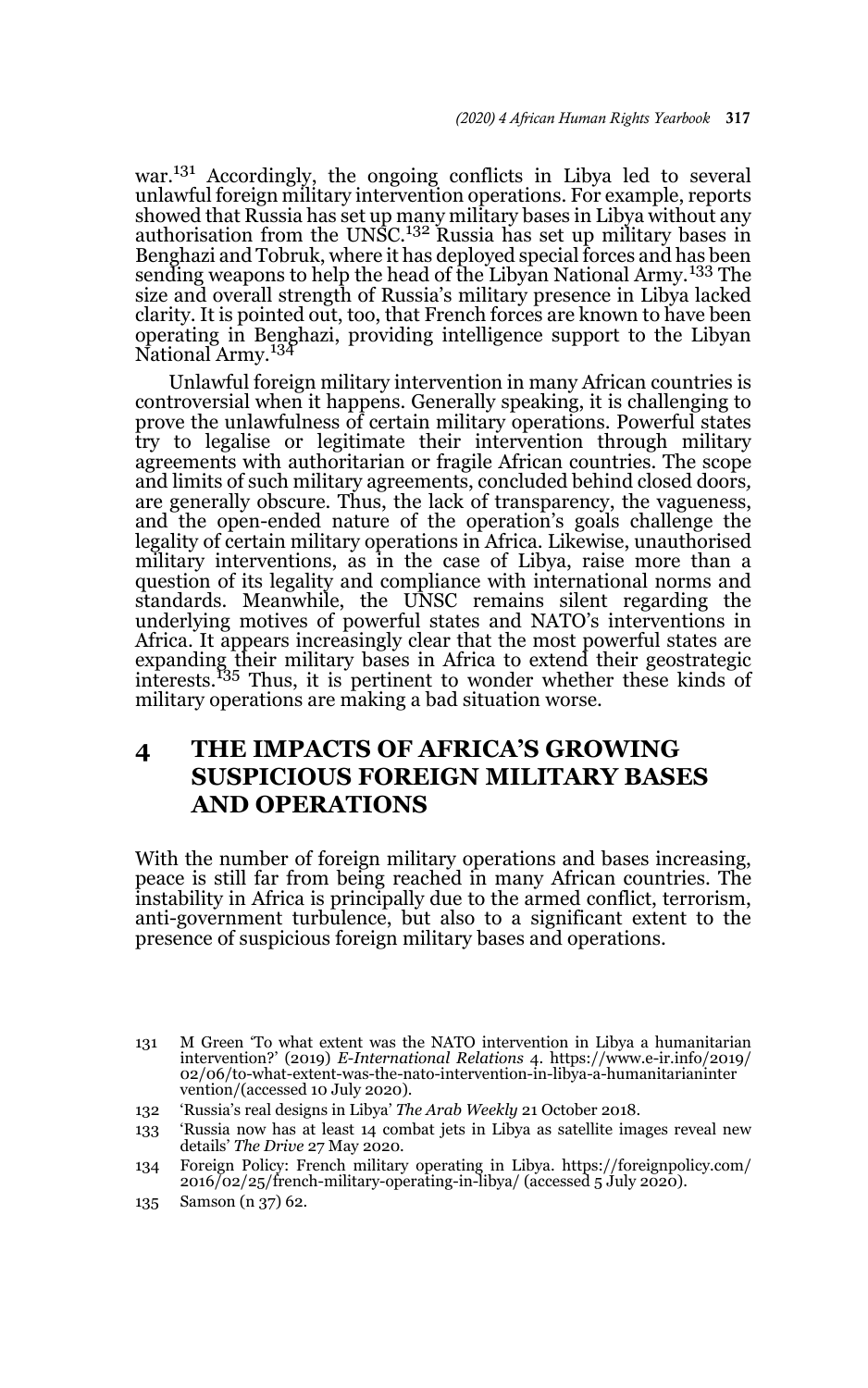war.<sup>131</sup> Accordingly, the ongoing conflicts in Libya led to several unlawful foreign military intervention operations. For example, reports showed that Russia has set up many military bases in Libya without any<br>authorisation from the UNSC.<sup>132</sup> Russia has set up military bases in Benghazi and Tobruk, where it has deployed special forces and has been sending weapons to help the head of the Libyan National Army.<sup>133</sup> The size and overall strength of Russia's military presence in Libya lacked clarity. It is pointed out, too, that French forces are known to have been operating in Benghazi, providing intelligence support to the Libyan National Army.<sup>134</sup>

Unlawful foreign military intervention in many African countries is controversial when it happens. Generally speaking, it is challenging to prove the unlawfulness of certain military operations. Powerful states try to legalise or legitimate their intervention through military agreements with authoritarian or fragile African countries. The scope and limits of such military agreements, concluded behind closed doors*,* are generally obscure. Thus, the lack of transparency, the vagueness, and the open-ended nature of the operation's goals challenge the legality of certain military operations in Africa. Likewise, unauthorised military interventions, as in the case of Libya, raise more than a question of its legality and compliance with international norms and standards. Meanwhile, the UNSC remains silent regarding the underlying motives of powerful states and NATO's interventions in Africa. It appears increasingly clear that the most powerful states are expanding their military bases in Africa to extend their geostrategic interests*.* <sup>135</sup> Thus, it is pertinent to wonder whether these kinds of military operations are making a bad situation worse.

# **4 THE IMPACTS OF AFRICA'S GROWING SUSPICIOUS FOREIGN MILITARY BASES AND OPERATIONS**

With the number of foreign military operations and bases increasing, peace is still far from being reached in many African countries. The instability in Africa is principally due to the armed conflict, terrorism, anti-government turbulence, but also to a significant extent to the presence of suspicious foreign military bases and operations.

<sup>131</sup> M Green 'To what extent was the NATO intervention in Libya a humanitarian intervention?' (2019) *E-International Relations* 4. https://www.e-ir.info/2019/ 02/06/to-what-extent-was-the-nato-intervention-in-libya-a-humanitarianinter vention/(accessed 10 July 2020).

<sup>132 &#</sup>x27;Russia's real designs in Libya' *The Arab Weekly* 21 October 2018.

<sup>133 &#</sup>x27;Russia now has at least 14 combat jets in Libya as satellite images reveal new details' *The Drive* 27 May 2020.

<sup>134</sup> Foreign Policy: French military operating in Libya. https://foreignpolicy.com/  $2016$ /02/25/french-military-operating-in-libya/ (accessed  $5$  July 2020).

<sup>135</sup> Samson (n 37) 62.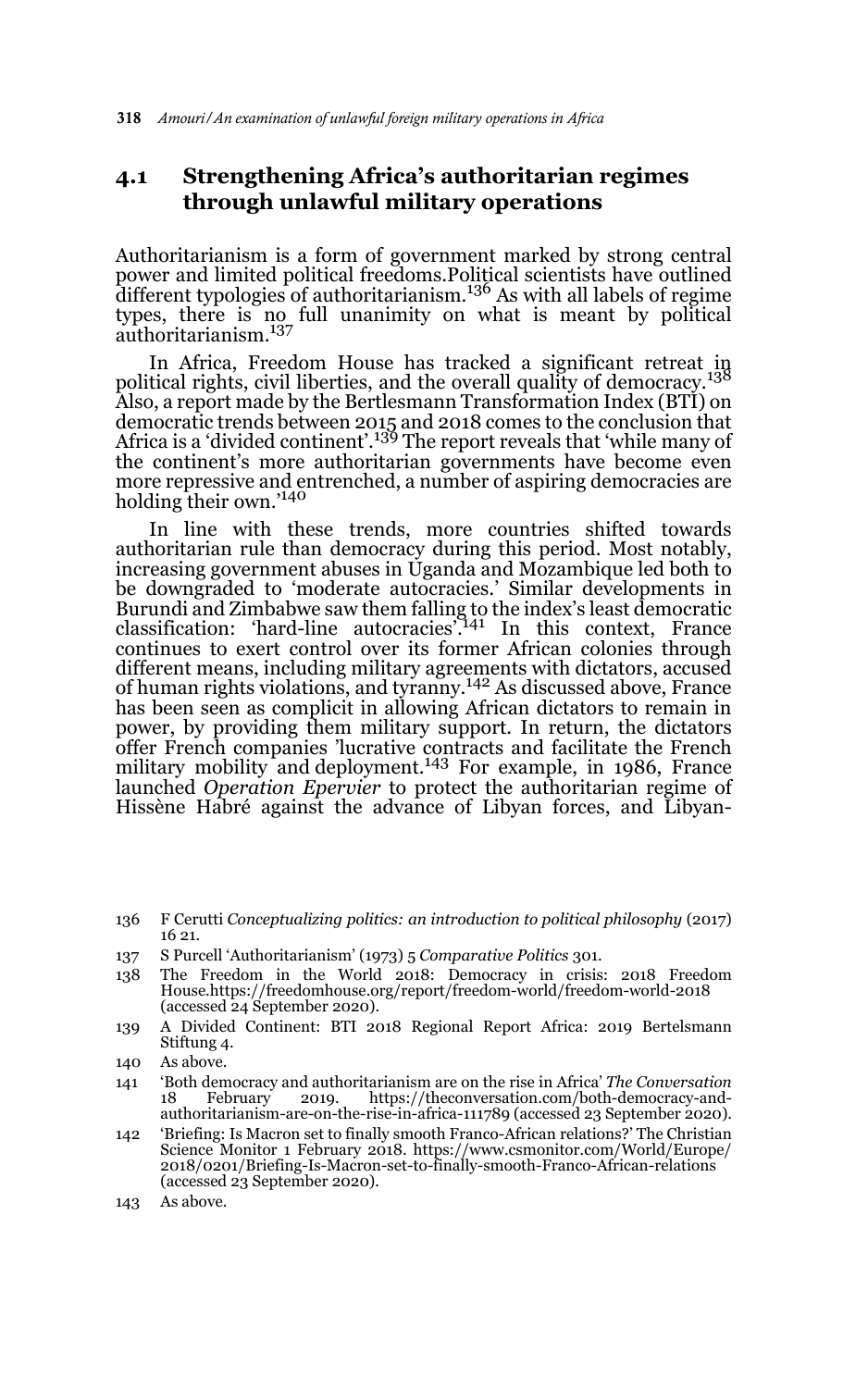### **4.1 Strengthening Africa's authoritarian regimes through unlawful military operations**

Authoritarianism is a form of government marked by strong central power and limited political freedoms.Political scientists have outlined different typologies of authoritarianism.136 As with all labels of regime types, there is no full unanimity on what is meant by political authoritarianism.137

In Africa, Freedom House has tracked a significant retreat in political rights, civil liberties, and the overall quality of democracy.<sup>138</sup> Also, a report made by the Bertlesmann Transformation Index (BTI) on democratic trends between 2015 and 2018 comes to the conclusion that<br>Africa is a 'divided continent'.<sup>139</sup> The report reveals that 'while many of the continent's more authoritarian governments have become even more repressive and entrenched, a number of aspiring democracies are holding their own.'140

In line with these trends, more countries shifted towards authoritarian rule than democracy during this period. Most notably, increasing government abuses in Uganda and Mozambique led both to be downgraded to 'moderate autocracies.' Similar developments in Burundi and Zimbabwe saw them falling to the index's least democratic classification: 'hard-line autocracies'.141 In this context, France continues to exert control over its former African colonies through different means, including military agreements with dictators, accused of human rights violations, and tyranny.142 As discussed above, France has been seen as complicit in allowing African dictators to remain in power, by providing them military support. In return, the dictators offer French companies 'lucrative contracts and facilitate the French military mobility and deployment.143 For example, in 1986, France launched *Operation Epervier* to protect the authoritarian regime of Hissène Habré against the advance of Libyan forces, and Libyan-

- 137 S Purcell 'Authoritarianism' (1973) 5 *Comparative Politics* 301.
- 138 The Freedom in the World 2018: Democracy in crisis: 2018 Freedom House.https://freedomhouse.org/report/freedom-world/freedom-world-2018 (accessed 24 September 2020).
- 139 A Divided Continent: BTI 2018 Regional Report Africa: 2019 Bertelsmann Stiftung 4.
- 140 As above.
- 141 'Both democracy and authoritarianism are on the rise in Africa' *The Conversation* https://theconversation.com/both-democracy-andauthoritarianism-are-on-the-rise-in-africa-111789 (accessed 23 September 2020).
- 142 'Briefing: Is Macron set to finally smooth Franco-African relations?' The Christian Science Monitor 1 February 2018. https://www.csmonitor.com/World/Europe/ 2018/0201/Briefing-Is-Macron-set-to-finally-smooth-Franco-African-relations (accessed 23 September 2020).
- 143 As above.

<sup>136</sup> F Cerutti *Conceptualizing politics: an introduction to political philosophy* (2017) 16 21.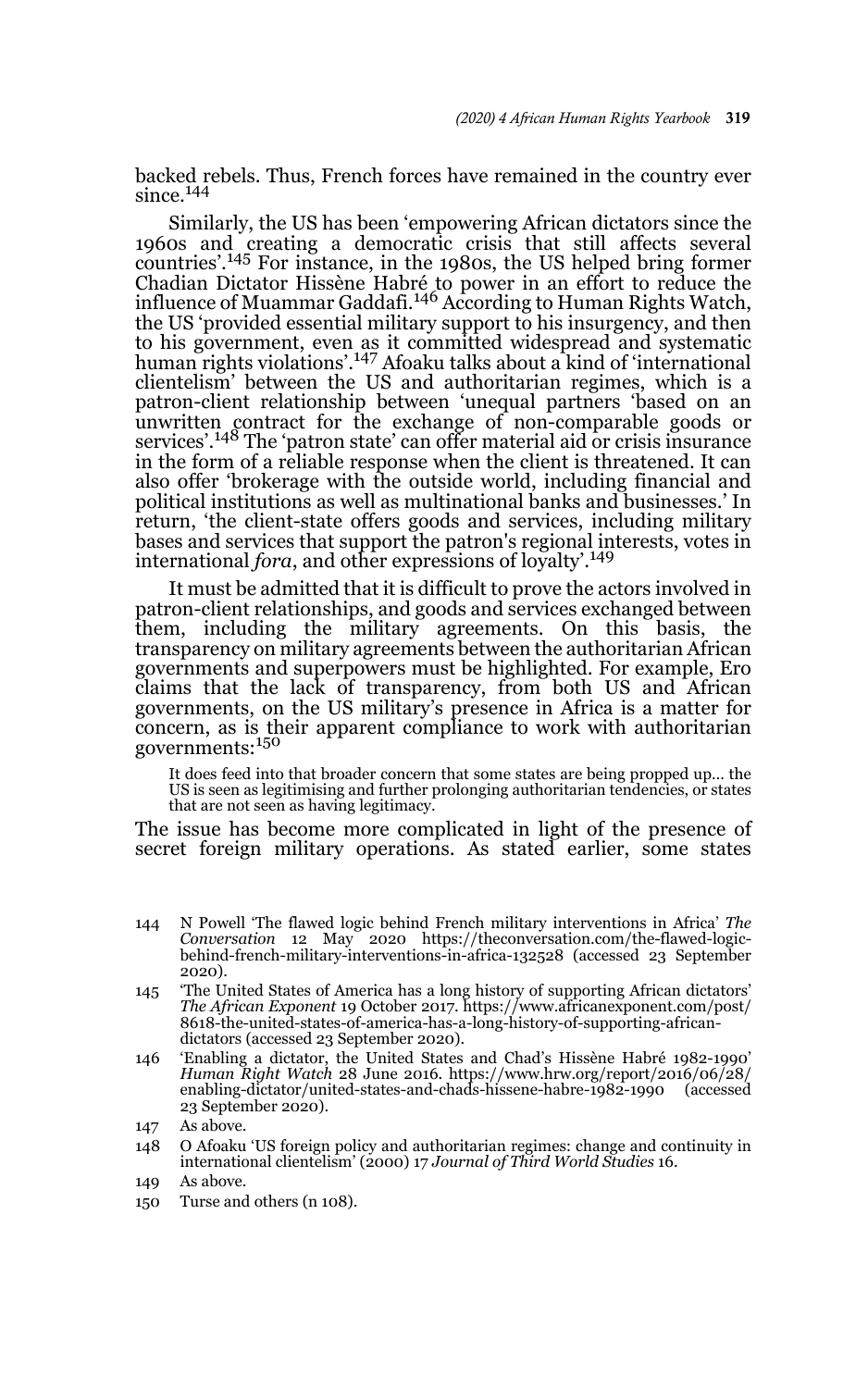backed rebels. Thus, French forces have remained in the country ever since. $144$ 

Similarly, the US has been 'empowering African dictators since the 1960s and creating a democratic crisis that still affects several countries'.145 For instance, in the 1980s, the US helped bring former Chadian Dictator Hissène Habré to power in an effort to reduce the<br>influence of Muammar Gaddafi.<sup>146</sup> According to Human Rights Watch, the US 'provided essential military support to his insurgency, and then to his government, even as it committed widespread and systematic human rights violations'.147 Afoaku talks about a kind of 'international clientelism' between the US and authoritarian regimes, which is a patron-client relationship between 'unequal partners 'based on an unwritten contract for the exchange of non-comparable goods or services'.<sup>148</sup> The 'patron state' can offer material aid or crisis insurance in the form of a reliable response when the client is threatened. It can also offer 'brokerage with the outside world, including financial and political institutions as well as multinational banks and businesses.' In return, 'the client-state offers goods and services, including military bases and services that support the patron's regional interests, votes in international *fora*, and other expressions of loyalty'.149

It must be admitted that it is difficult to prove the actors involved in patron-client relationships, and goods and services exchanged between them, including the military agreements. On this basis, the transparency on military agreements between the authoritarian African governments and superpowers must be highlighted. For example, Ero claims that the lack of transparency, from both US and African governments, on the US military's presence in Africa is a matter for concern, as is their apparent compliance to work with authoritarian governments:<sup>150</sup>

It does feed into that broader concern that some states are being propped up… the US is seen as legitimising and further prolonging authoritarian tendencies, or states that are not seen as having legitimacy.

The issue has become more complicated in light of the presence of secret foreign military operations. As stated earlier, some states

- 144 N Powell 'The flawed logic behind French military interventions in Africa' *The Conversation* 12 May 2020 https://theconversation.com/the-flawed-logic-behind-french-military-interventions-in-africa-132528 (accessed 23 September 2020).
- 145 'The United States of America has a long history of supporting African dictators' *The African Exponent* 19 October 2017. https://www.africanexponent.com/post/ 8618-the-united-states-of-america-has-a-long-history-of-supporting-africandictators (accessed 23 September 2020).
- 146 'Enabling a dictator, the United States and Chad's Hissène Habré 1982-1990' *Human Right Watch* 28 June 2016. https://www.hrw.org/report/2016/06/28/ enabling-dictator/united-states-and-chads-hissene-habre-1982-1990 (accessed 23 September 2020).
- 147 As above.
- 148 O Afoaku 'US foreign policy and authoritarian regimes: change and continuity in international clientelism' (2000) 17 *Journal of Third World Studies* 16.
- 149 As above.
- 150 Turse and others (n 108).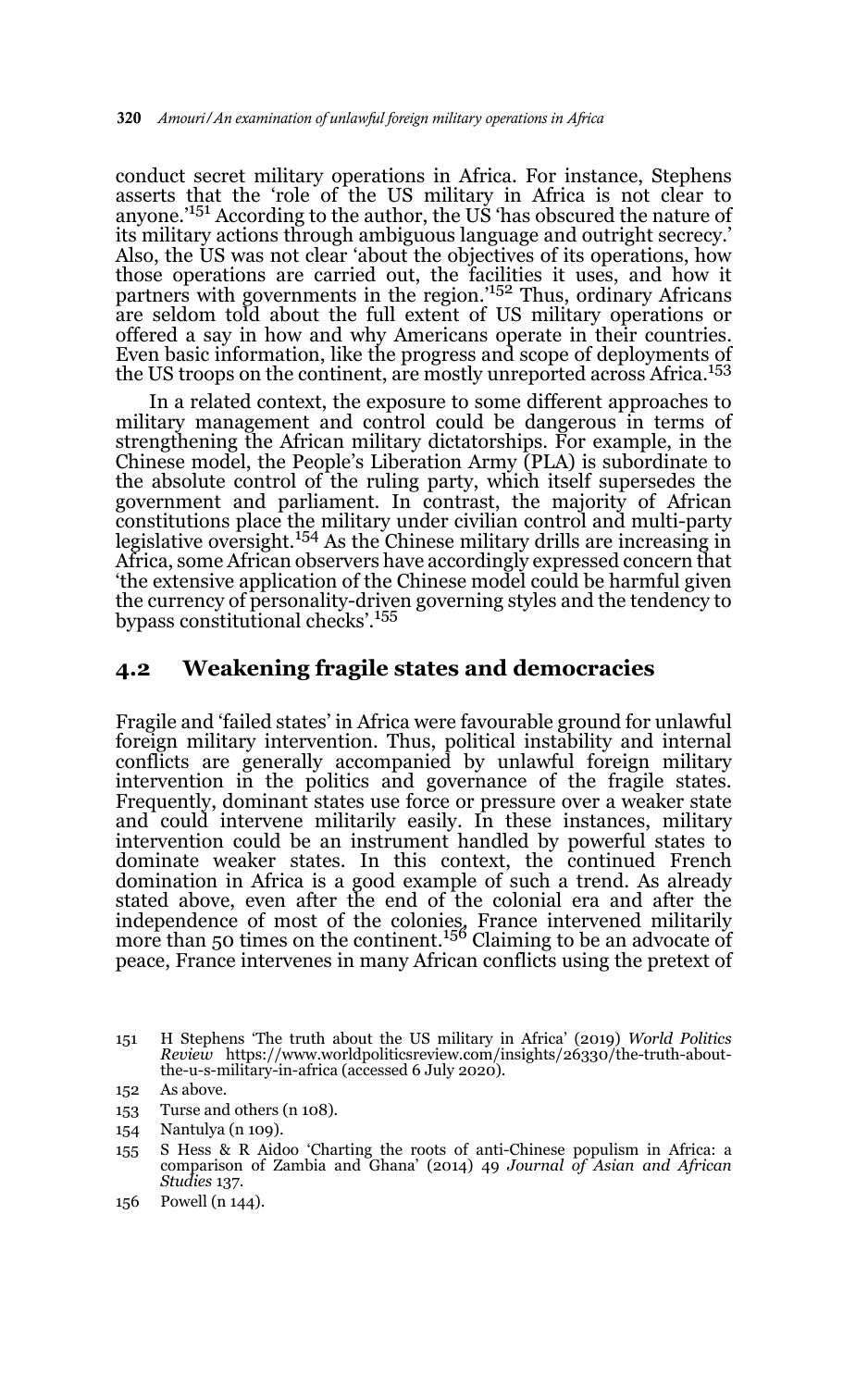conduct secret military operations in Africa. For instance, Stephens asserts that the 'role of the US military in Africa is not clear to anyone.<sup>'151</sup> According to the author, the US 'has obscured the nature of its military actions through ambiguous language and outright secrecy.' Also, the US was not clear 'about the objectives of its operations, how those operations are carried out, the facilities it uses, and how it partners with governments in the region.<sup>'152</sup> Thus, ordinary Africans are seldom told about the full extent of US military operations or offered a say in how and why Americans operate in their countries. Even basic information, like the progress and scope of deployments of the US troops on the continent, are mostly unreported across Africa.<sup>153</sup>

In a related context, the exposure to some different approaches to military management and control could be dangerous in terms of strengthening the African military dictatorships. For example, in the Chinese model, the People's Liberation Army (PLA) is subordinate to the absolute control of the ruling party, which itself supersedes the government and parliament. In contrast, the majority of African constitutions place the military under civilian control and multi-party legislative oversight.154 As the Chinese military drills are increasing in Africa, some African observers have accordingly expressed concern that 'the extensive application of the Chinese model could be harmful given the currency of personality-driven governing styles and the tendency to bypass constitutional checks'.155

#### **4.2 Weakening fragile states and democracies**

Fragile and 'failed states' in Africa were favourable ground for unlawful foreign military intervention. Thus, political instability and internal conflicts are generally accompanied by unlawful foreign military intervention in the politics and governance of the fragile states. Frequently, dominant states use force or pressure over a weaker state and could intervene militarily easily. In these instances, military intervention could be an instrument handled by powerful states to dominate weaker states. In this context, the continued French domination in Africa is a good example of such a trend. As already stated above, even after the end of the colonial era and after the independence of most of the colonies, France intervened militarily<br>more than 50 times on the continent.<sup>156</sup> Claiming to be an advocate of peace, France intervenes in many African conflicts using the pretext of

- 152 As above.
- 153 Turse and others (n 108).
- 154 Nantulya (n 109).
- 155 S Hess & R Aidoo 'Charting the roots of anti-Chinese populism in Africa: a comparison of Zambia and Ghana' (2014) 49 *Journal of Asian and African Studies* 137.
- 156 Powell (n 144).

<sup>151</sup> H Stephens 'The truth about the US military in Africa' (2019) *World Politics Review* https://www.worldpoliticsreview.com/insights/26330/the-truth-aboutthe-u-s-military-in-africa (accessed 6 July 2020).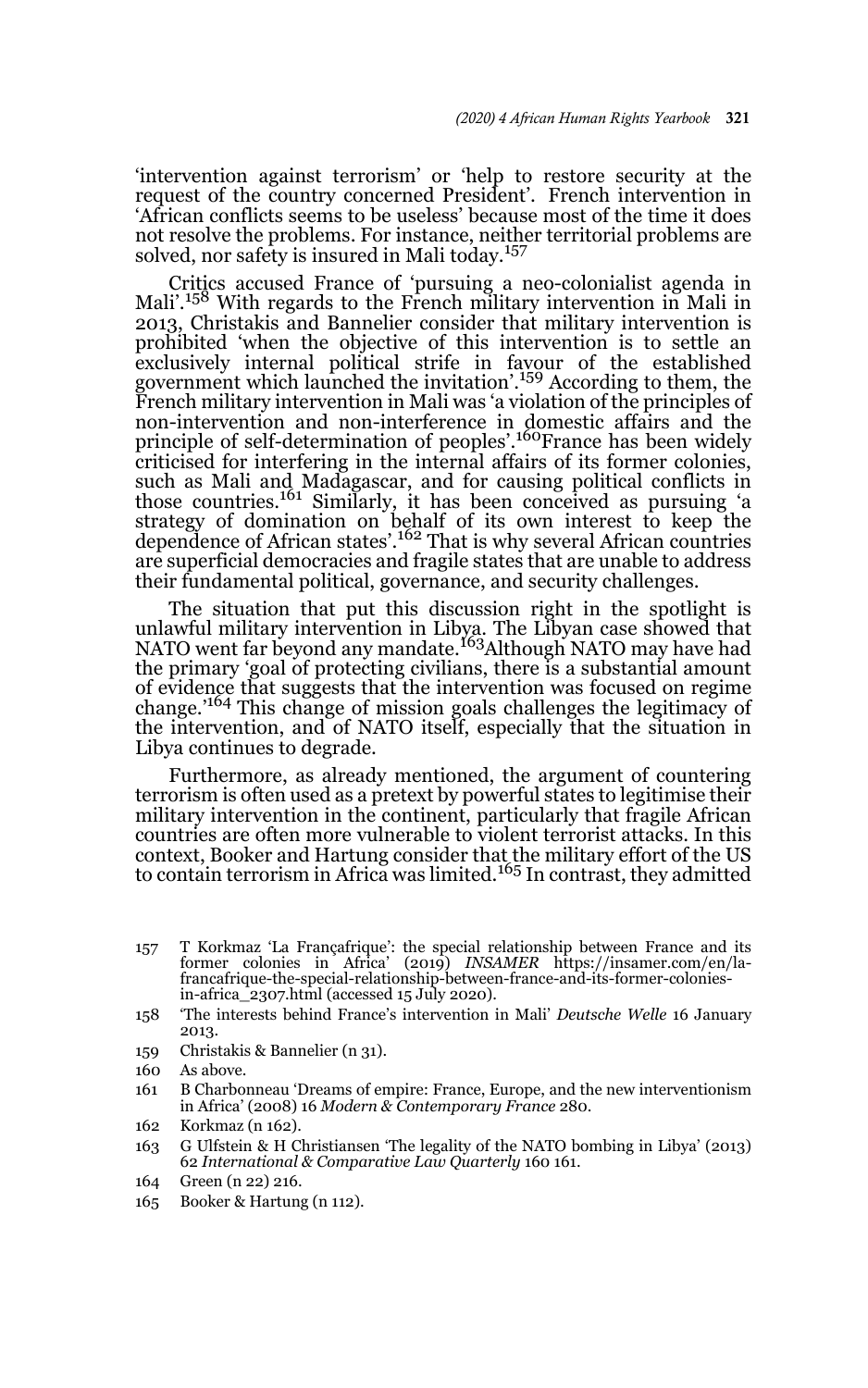'intervention against terrorism' or 'help to restore security at the request of the country concerned President'. French intervention in 'African conflicts seems to be useless' because most of the time it does not resolve the problems. For instance, neither territorial problems are solved, nor safety is insured in Mali today.<sup>157</sup>

Critics accused France of 'pursuing a neo-colonialist agenda in Mali'.158 With regards to the French military intervention in Mali in 2013, Christakis and Bannelier consider that military intervention is prohibited 'when the objective of this intervention is to settle an exclusively internal political strife in favour of the established government which launched the invitation'.159 According to them, the French military intervention in Mali was 'a violation of the principles of non-intervention and non-interference in domestic affairs and the principle of self-determination of peoples'.<sup>160</sup>France has been widely criticised for interfering in the internal affairs of its former colonies, such as Mali and Madagascar, and for causing political conflicts in those countries.161 Similarly, it has been conceived as pursuing 'a strategy of domination on behalf of its own interest to keep the dependence of African states'.162 That is why several African countries are superficial democracies and fragile states that are unable to address their fundamental political, governance, and security challenges.

The situation that put this discussion right in the spotlight is unlawful military intervention in Libya. The Libyan case showed that<br>NATO went far beyond any mandate.<sup>163</sup>Although NATO may have had the primary 'goal of protecting civilians, there is a substantial amount of evidence that suggests that the intervention was focused on regime change.'164 This change of mission goals challenges the legitimacy of the intervention, and of NATO itself, especially that the situation in Libya continues to degrade.

Furthermore, as already mentioned, the argument of countering terrorism is often used as a pretext by powerful states to legitimise their military intervention in the continent, particularly that fragile African countries are often more vulnerable to violent terrorist attacks. In this context, Booker and Hartung consider that the military effort of the US<br>to contain terrorism in Africa was limited.<sup>165</sup> In contrast, they admitted

- 157 T Korkmaz 'La Françafrique': the special relationship between France and its former colonies in Africa' (2019) *INSAMER* https://insamer.com/en/la-francafrique-the-special-relationship-between-france-and-its-former-coloniesin-africa\_2307.html (accessed 15 July 2020).
- 158 'The interests behind France's intervention in Mali' *Deutsche Welle* 16 January 2013.
- 159 Christakis & Bannelier (n 31).
- 160 As above.
- 161 B Charbonneau 'Dreams of empire: France, Europe, and the new interventionism in Africa' (2008) 16 *Modern & Contemporary France* 280.
- 162 Korkmaz (n 162).
- 163 G Ulfstein & H Christiansen 'The legality of the NATO bombing in Libya' (2013) 62 *International & Comparative Law Quarterly* 160 161.
- 164 Green (n 22) 216.
- 165 Booker & Hartung (n 112).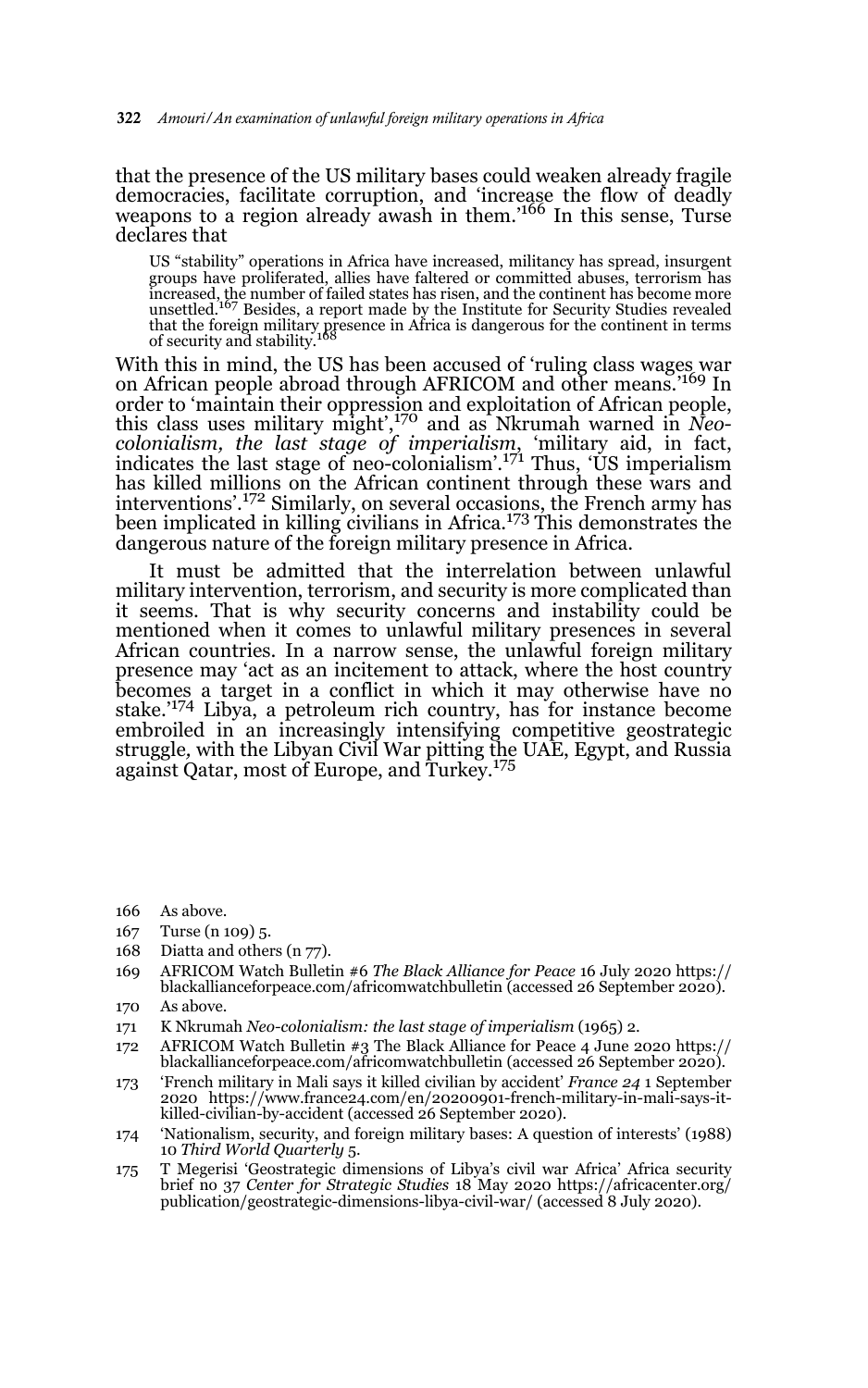that the presence of the US military bases could weaken already fragile democracies, facilitate corruption, and 'increase the flow of deadly weapons to a region already awash in them.<sup>166</sup> In this sense, Turse declares that

US "stability" operations in Africa have increased, militancy has spread, insurgent groups have proliferated, allies have faltered or committed abuses, terrorism has increased, the number of failed states has risen, and the continent has become more unsettled.167 Besides, a report made by the Institute for Security Studies revealed that the foreign military presence in Africa is dangerous for the continent in terms<br>of security and stability.<sup>168</sup>

With this in mind, the US has been accused of 'ruling class wages war on African people abroad through AFRICOM and other means.'169 In order to 'maintain their oppression and exploitation of African people, this class uses military might',170 and as Nkrumah warned in *Neocolonialism, the last stage of imperialism*, 'military aid, in fact, indicates the last stage of neo-colonialism'.171 Thus, 'US imperialism has killed millions on the African continent through these wars and interventions'.172 Similarly, on several occasions, the French army has been implicated in killing civilians in Africa.<sup>173</sup> This demonstrates the dangerous nature of the foreign military presence in Africa.

It must be admitted that the interrelation between unlawful military intervention, terrorism, and security is more complicated than it seems. That is why security concerns and instability could be mentioned when it comes to unlawful military presences in several African countries. In a narrow sense, the unlawful foreign military presence may 'act as an incitement to attack, where the host country becomes a target in a conflict in which it may otherwise have no stake.'174 Libya, a petroleum rich country, has for instance become embroiled in an increasingly intensifying competitive geostrategic struggle*,* with the Libyan Civil War pitting the UAE, Egypt, and Russia against Qatar, most of Europe, and Turkey.175

- 166 As above.
- 167 Turse (n 109) 5.
- 168 Diatta and others (n 77).
- 169 AFRICOM Watch Bulletin #6 *The Black Alliance for Peace* 16 July 2020 https:// blackallianceforpeace.com/africomwatchbulletin (accessed 26 September 2020).
- 170 As above.
- 171 K Nkrumah *Neo-colonialism: the last stage of imperialism* (1965) 2.
- 172 AFRICOM Watch Bulletin #3 The Black Alliance for Peace 4 June 2020 https:// blackallianceforpeace.com/africomwatchbulletin (accessed 26 September 2020).
- 173 'French military in Mali says it killed civilian by accident' *France 24* 1 September 2020 https://www.france24.com/en/20200901-french-military-in-mali-says-itkilled-civilian-by-accident (accessed 26 September 2020).
- 174 'Nationalism, security, and foreign military bases: A question of interests' (1988) 10 *Third World Quarterly* 5.
- 175 T Megerisi 'Geostrategic dimensions of Libya's civil war Africa' Africa security brief no 37 *Center for Strategic Studies* 18 May 2020 https://africacenter.org/ publication/geostrategic-dimensions-libya-civil-war/ (accessed 8 July 2020).